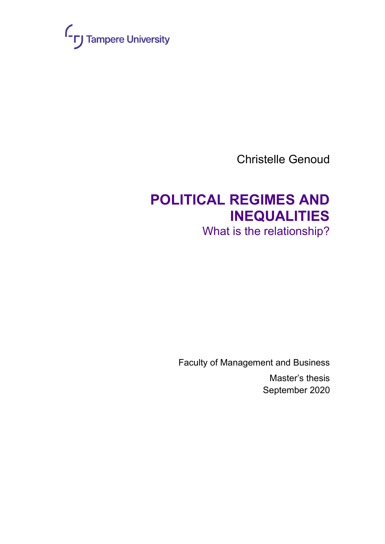

Christelle Genoud

# **POLITICAL REGIMES AND INEQUALITIES**

What is the relationship?

Faculty of Management and Business Master's thesis September 2020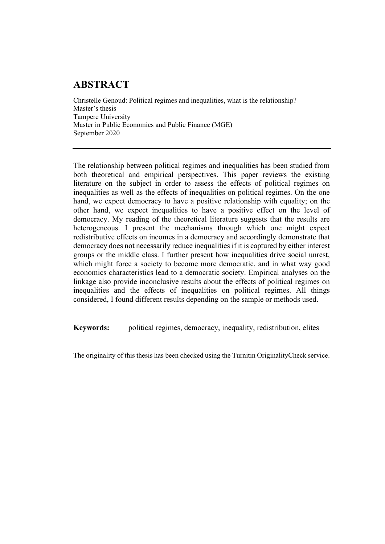### **ABSTRACT**

Christelle Genoud: Political regimes and inequalities, what is the relationship? Master's thesis Tampere University Master in Public Economics and Public Finance (MGE) September 2020

The relationship between political regimes and inequalities has been studied from both theoretical and empirical perspectives. This paper reviews the existing literature on the subject in order to assess the effects of political regimes on inequalities as well as the effects of inequalities on political regimes. On the one hand, we expect democracy to have a positive relationship with equality; on the other hand, we expect inequalities to have a positive effect on the level of democracy. My reading of the theoretical literature suggests that the results are heterogeneous. I present the mechanisms through which one might expect redistributive effects on incomes in a democracy and accordingly demonstrate that democracy does not necessarily reduce inequalities if it is captured by either interest groups or the middle class. I further present how inequalities drive social unrest, which might force a society to become more democratic, and in what way good economics characteristics lead to a democratic society. Empirical analyses on the linkage also provide inconclusive results about the effects of political regimes on inequalities and the effects of inequalities on political regimes. All things considered, I found different results depending on the sample or methods used.

**Keywords:** political regimes, democracy, inequality, redistribution, elites

The originality of this thesis has been checked using the Turnitin OriginalityCheck service.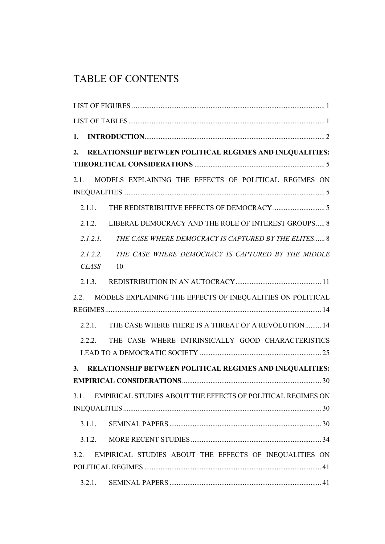### TABLE OF CONTENTS

| 1.           |                                                                     |
|--------------|---------------------------------------------------------------------|
| 2.           | RELATIONSHIP BETWEEN POLITICAL REGIMES AND INEQUALITIES:            |
| 2.1.         | MODELS EXPLAINING THE EFFECTS OF POLITICAL REGIMES ON               |
| 2.1.1.       |                                                                     |
|              | 2.1.2. LIBERAL DEMOCRACY AND THE ROLE OF INTEREST GROUPS 8          |
| 2.1.2.1.     | THE CASE WHERE DEMOCRACY IS CAPTURED BY THE ELITES 8                |
| <b>CLASS</b> | 2.1.2.2. THE CASE WHERE DEMOCRACY IS CAPTURED BY THE MIDDLE<br>- 10 |
|              |                                                                     |
| 2.2.         | MODELS EXPLAINING THE EFFECTS OF INEQUALITIES ON POLITICAL          |
| 2.2.1.       | THE CASE WHERE THERE IS A THREAT OF A REVOLUTION 14                 |
| 2.2.2.       | THE CASE WHERE INTRINSICALLY GOOD CHARACTERISTICS                   |
|              | 3. RELATIONSHIP BETWEEN POLITICAL REGIMES AND INEQUALITIES:         |
|              |                                                                     |
| 3.1.         | EMPIRICAL STUDIES ABOUT THE EFFECTS OF POLITICAL REGIMES ON         |
|              |                                                                     |
| 3.1.1.       |                                                                     |
| 3.1.2.       |                                                                     |
| 3.2.         | EMPIRICAL STUDIES ABOUT THE EFFECTS OF INEQUALITIES ON              |
| 3.2.1.       |                                                                     |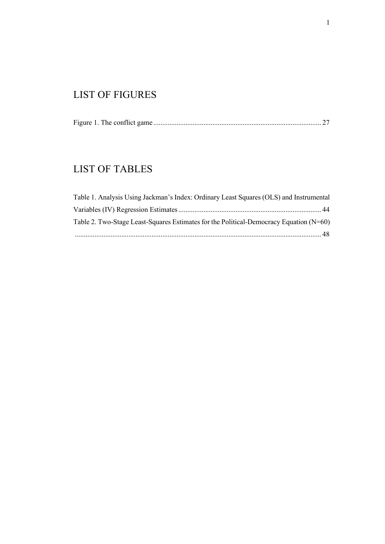### <span id="page-4-0"></span>LIST OF FIGURES

Figure 1. The conflict game [..............................................................................................](#page-30-0) 27

### <span id="page-4-1"></span>LIST OF TABLES

| Table 1. Analysis Using Jackman's Index: Ordinary Least Squares (OLS) and Instrumental   |  |
|------------------------------------------------------------------------------------------|--|
|                                                                                          |  |
| Table 2. Two-Stage Least-Squares Estimates for the Political-Democracy Equation $(N=60)$ |  |
|                                                                                          |  |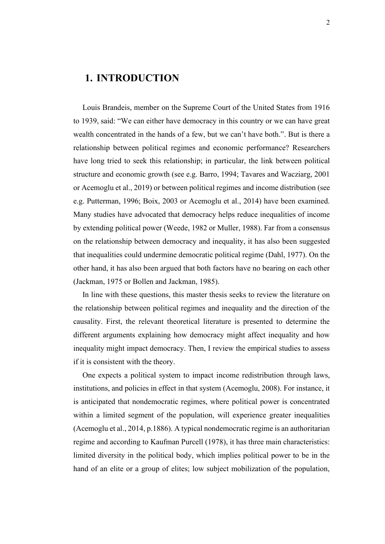#### <span id="page-5-0"></span>**1. INTRODUCTION**

Louis Brandeis, member on the Supreme Court of the United States from 1916 to 1939, said: "We can either have democracy in this country or we can have great wealth concentrated in the hands of a few, but we can't have both.". But is there a relationship between political regimes and economic performance? Researchers have long tried to seek this relationship; in particular, the link between political structure and economic growth (see e.g. Barro, 1994; Tavares and Wacziarg, 2001 or Acemoglu et al., 2019) or between political regimes and income distribution (see e.g. Putterman, 1996; Boix, 2003 or Acemoglu et al., 2014) have been examined. Many studies have advocated that democracy helps reduce inequalities of income by extending political power (Weede, 1982 or Muller, 1988). Far from a consensus on the relationship between democracy and inequality, it has also been suggested that inequalities could undermine democratic political regime (Dahl, 1977). On the other hand, it has also been argued that both factors have no bearing on each other (Jackman, 1975 or Bollen and Jackman, 1985).

In line with these questions, this master thesis seeks to review the literature on the relationship between political regimes and inequality and the direction of the causality. First, the relevant theoretical literature is presented to determine the different arguments explaining how democracy might affect inequality and how inequality might impact democracy. Then, I review the empirical studies to assess if it is consistent with the theory.

One expects a political system to impact income redistribution through laws, institutions, and policies in effect in that system (Acemoglu, 2008). For instance, it is anticipated that nondemocratic regimes, where political power is concentrated within a limited segment of the population, will experience greater inequalities (Acemoglu et al., 2014, p.1886). A typical nondemocratic regime is an authoritarian regime and according to Kaufman Purcell (1978), it has three main characteristics: limited diversity in the political body, which implies political power to be in the hand of an elite or a group of elites; low subject mobilization of the population,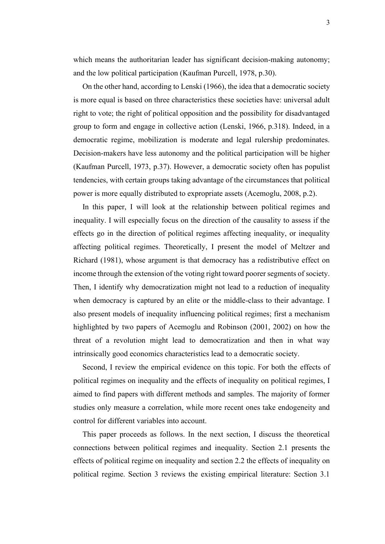which means the authoritarian leader has significant decision-making autonomy; and the low political participation (Kaufman Purcell, 1978, p.30).

On the other hand, according to Lenski (1966), the idea that a democratic society is more equal is based on three characteristics these societies have: universal adult right to vote; the right of political opposition and the possibility for disadvantaged group to form and engage in collective action (Lenski, 1966, p.318). Indeed, in a democratic regime, mobilization is moderate and legal rulership predominates. Decision-makers have less autonomy and the political participation will be higher (Kaufman Purcell, 1973, p.37). However, a democratic society often has populist tendencies, with certain groups taking advantage of the circumstances that political power is more equally distributed to expropriate assets (Acemoglu, 2008, p.2).

In this paper, I will look at the relationship between political regimes and inequality. I will especially focus on the direction of the causality to assess if the effects go in the direction of political regimes affecting inequality, or inequality affecting political regimes. Theoretically, I present the model of Meltzer and Richard (1981), whose argument is that democracy has a redistributive effect on income through the extension of the voting right toward poorer segments of society. Then, I identify why democratization might not lead to a reduction of inequality when democracy is captured by an elite or the middle-class to their advantage. I also present models of inequality influencing political regimes; first a mechanism highlighted by two papers of Acemoglu and Robinson (2001, 2002) on how the threat of a revolution might lead to democratization and then in what way intrinsically good economics characteristics lead to a democratic society.

Second, I review the empirical evidence on this topic. For both the effects of political regimes on inequality and the effects of inequality on political regimes, I aimed to find papers with different methods and samples. The majority of former studies only measure a correlation, while more recent ones take endogeneity and control for different variables into account.

This paper proceeds as follows. In the next section, I discuss the theoretical connections between political regimes and inequality. Section 2.1 presents the effects of political regime on inequality and section 2.2 the effects of inequality on political regime. Section 3 reviews the existing empirical literature: Section 3.1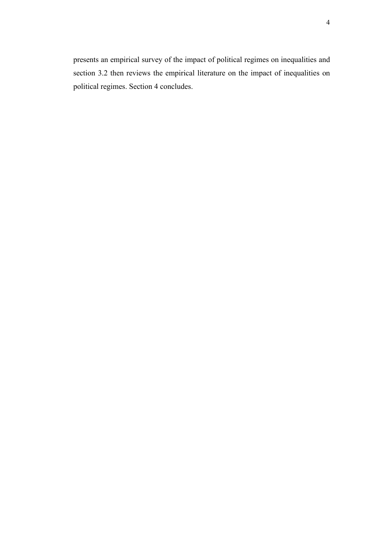presents an empirical survey of the impact of political regimes on inequalities and section 3.2 then reviews the empirical literature on the impact of inequalities on political regimes. Section 4 concludes.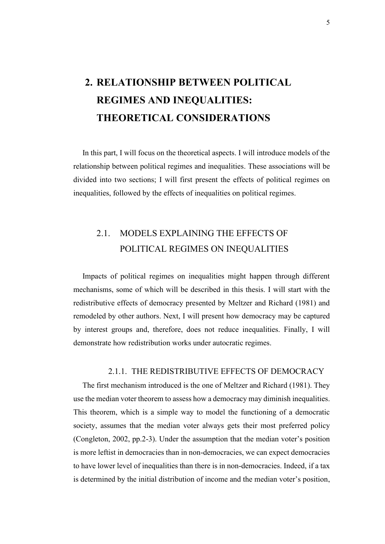# <span id="page-8-0"></span>**2. RELATIONSHIP BETWEEN POLITICAL REGIMES AND INEQUALITIES: THEORETICAL CONSIDERATIONS**

In this part, I will focus on the theoretical aspects. I will introduce models of the relationship between political regimes and inequalities. These associations will be divided into two sections; I will first present the effects of political regimes on inequalities, followed by the effects of inequalities on political regimes.

### <span id="page-8-1"></span>2.1. MODELS EXPLAINING THE EFFECTS OF POLITICAL REGIMES ON INEQUALITIES

Impacts of political regimes on inequalities might happen through different mechanisms, some of which will be described in this thesis. I will start with the redistributive effects of democracy presented by Meltzer and Richard (1981) and remodeled by other authors. Next, I will present how democracy may be captured by interest groups and, therefore, does not reduce inequalities. Finally, I will demonstrate how redistribution works under autocratic regimes.

#### 2.1.1. THE REDISTRIBUTIVE EFFECTS OF DEMOCRACY

<span id="page-8-2"></span>The first mechanism introduced is the one of Meltzer and Richard (1981). They use the median voter theorem to assess how a democracy may diminish inequalities. This theorem, which is a simple way to model the functioning of a democratic society, assumes that the median voter always gets their most preferred policy (Congleton, 2002, pp.2-3). Under the assumption that the median voter's position is more leftist in democracies than in non-democracies, we can expect democracies to have lower level of inequalities than there is in non-democracies. Indeed, if a tax is determined by the initial distribution of income and the median voter's position,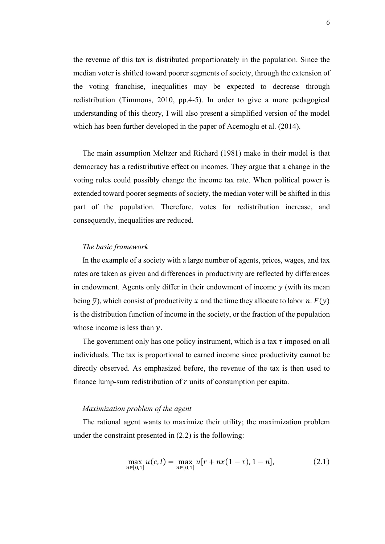the revenue of this tax is distributed proportionately in the population. Since the median voter is shifted toward poorer segments of society, through the extension of the voting franchise, inequalities may be expected to decrease through redistribution (Timmons, 2010, pp.4-5). In order to give a more pedagogical understanding of this theory, I will also present a simplified version of the model which has been further developed in the paper of Acemoglu et al. (2014).

The main assumption Meltzer and Richard (1981) make in their model is that democracy has a redistributive effect on incomes. They argue that a change in the voting rules could possibly change the income tax rate. When political power is extended toward poorer segments of society, the median voter will be shifted in this part of the population. Therefore, votes for redistribution increase, and consequently, inequalities are reduced.

#### *The basic framework*

In the example of a society with a large number of agents, prices, wages, and tax rates are taken as given and differences in productivity are reflected by differences in endowment. Agents only differ in their endowment of income  $y$  (with its mean being  $\bar{v}$ ), which consist of productivity x and the time they allocate to labor n.  $F(v)$ is the distribution function of income in the society, or the fraction of the population whose income is less than  $y$ .

The government only has one policy instrument, which is a tax  $\tau$  imposed on all individuals. The tax is proportional to earned income since productivity cannot be directly observed. As emphasized before, the revenue of the tax is then used to finance lump-sum redistribution of  $r$  units of consumption per capita.

#### *Maximization problem of the agent*

The rational agent wants to maximize their utility; the maximization problem under the constraint presented in (2.2) is the following:

$$
\max_{n \in [0,1]} u(c,l) = \max_{n \in [0,1]} u[r + nx(1-\tau), 1-n], \tag{2.1}
$$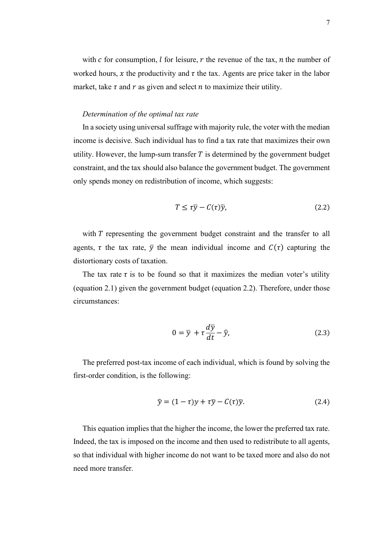with  $c$  for consumption,  $l$  for leisure,  $r$  the revenue of the tax,  $n$  the number of worked hours, x the productivity and  $\tau$  the tax. Agents are price taker in the labor market, take  $\tau$  and  $r$  as given and select  $n$  to maximize their utility.

#### *Determination of the optimal tax rate*

In a society using universal suffrage with majority rule, the voter with the median income is decisive. Such individual has to find a tax rate that maximizes their own utility. However, the lump-sum transfer  $T$  is determined by the government budget constraint, and the tax should also balance the government budget. The government only spends money on redistribution of income, which suggests:

$$
T \leq \tau \overline{y} - C(\tau) \overline{y},\tag{2.2}
$$

with T representing the government budget constraint and the transfer to all agents,  $\tau$  the tax rate,  $\bar{y}$  the mean individual income and  $C(\tau)$  capturing the distortionary costs of taxation.

The tax rate  $\tau$  is to be found so that it maximizes the median voter's utility (equation 2.1) given the government budget (equation 2.2). Therefore, under those circumstances:

$$
0 = \overline{y} + \tau \frac{d\overline{y}}{dt} - \hat{y},
$$
\n(2.3)

The preferred post-tax income of each individual, which is found by solving the first-order condition, is the following:

$$
\hat{y} = (1 - \tau)y + \tau \overline{y} - C(\tau)\overline{y}.
$$
\n(2.4)

This equation implies that the higher the income, the lower the preferred tax rate. Indeed, the tax is imposed on the income and then used to redistribute to all agents, so that individual with higher income do not want to be taxed more and also do not need more transfer.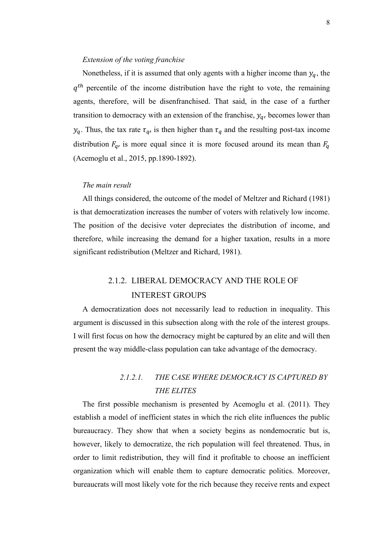#### *Extension of the voting franchise*

Nonetheless, if it is assumed that only agents with a higher income than  $y_q$ , the  $q^{th}$  percentile of the income distribution have the right to vote, the remaining agents, therefore, will be disenfranchised. That said, in the case of a further transition to democracy with an extension of the franchise,  $y_q$ , becomes lower than  $y_q$ . Thus, the tax rate  $\tau_q$ , is then higher than  $\tau_q$  and the resulting post-tax income distribution  $F_{q}$ , is more equal since it is more focused around its mean than  $F_{q}$ (Acemoglu et al., 2015, pp.1890-1892).

#### *The main result*

All things considered, the outcome of the model of Meltzer and Richard (1981) is that democratization increases the number of voters with relatively low income. The position of the decisive voter depreciates the distribution of income, and therefore, while increasing the demand for a higher taxation, results in a more significant redistribution (Meltzer and Richard, 1981).

### 2.1.2. LIBERAL DEMOCRACY AND THE ROLE OF INTEREST GROUPS

<span id="page-11-0"></span>A democratization does not necessarily lead to reduction in inequality. This argument is discussed in this subsection along with the role of the interest groups. I will first focus on how the democracy might be captured by an elite and will then present the way middle-class population can take advantage of the democracy.

### *2.1.2.1. THE CASE WHERE DEMOCRACY IS CAPTURED BY THE ELITES*

<span id="page-11-1"></span>The first possible mechanism is presented by Acemoglu et al. (2011). They establish a model of inefficient states in which the rich elite influences the public bureaucracy. They show that when a society begins as nondemocratic but is, however, likely to democratize, the rich population will feel threatened. Thus, in order to limit redistribution, they will find it profitable to choose an inefficient organization which will enable them to capture democratic politics. Moreover, bureaucrats will most likely vote for the rich because they receive rents and expect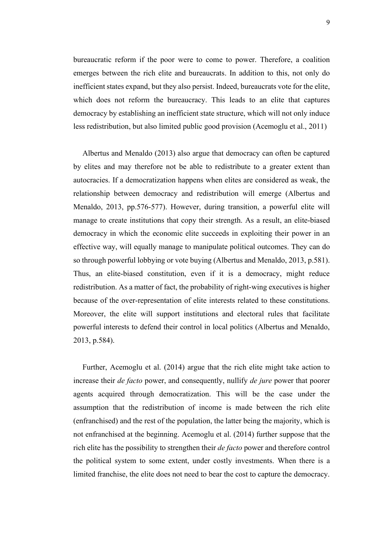bureaucratic reform if the poor were to come to power. Therefore, a coalition emerges between the rich elite and bureaucrats. In addition to this, not only do inefficient states expand, but they also persist. Indeed, bureaucrats vote for the elite, which does not reform the bureaucracy. This leads to an elite that captures democracy by establishing an inefficient state structure, which will not only induce less redistribution, but also limited public good provision (Acemoglu et al., 2011)

Albertus and Menaldo (2013) also argue that democracy can often be captured by elites and may therefore not be able to redistribute to a greater extent than autocracies. If a democratization happens when elites are considered as weak, the relationship between democracy and redistribution will emerge (Albertus and Menaldo, 2013, pp.576-577). However, during transition, a powerful elite will manage to create institutions that copy their strength. As a result, an elite-biased democracy in which the economic elite succeeds in exploiting their power in an effective way, will equally manage to manipulate political outcomes. They can do so through powerful lobbying or vote buying (Albertus and Menaldo, 2013, p.581). Thus, an elite-biased constitution, even if it is a democracy, might reduce redistribution. As a matter of fact, the probability of right-wing executives is higher because of the over-representation of elite interests related to these constitutions. Moreover, the elite will support institutions and electoral rules that facilitate powerful interests to defend their control in local politics (Albertus and Menaldo, 2013, p.584).

Further, Acemoglu et al. (2014) argue that the rich elite might take action to increase their *de facto* power, and consequently, nullify *de jure* power that poorer agents acquired through democratization. This will be the case under the assumption that the redistribution of income is made between the rich elite (enfranchised) and the rest of the population, the latter being the majority, which is not enfranchised at the beginning. Acemoglu et al. (2014) further suppose that the rich elite has the possibility to strengthen their *de facto* power and therefore control the political system to some extent, under costly investments. When there is a limited franchise, the elite does not need to bear the cost to capture the democracy.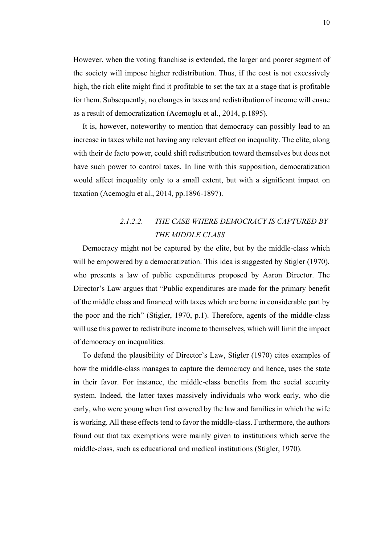However, when the voting franchise is extended, the larger and poorer segment of the society will impose higher redistribution. Thus, if the cost is not excessively high, the rich elite might find it profitable to set the tax at a stage that is profitable for them. Subsequently, no changes in taxes and redistribution of income will ensue as a result of democratization (Acemoglu et al., 2014, p.1895).

It is, however, noteworthy to mention that democracy can possibly lead to an increase in taxes while not having any relevant effect on inequality. The elite, along with their de facto power, could shift redistribution toward themselves but does not have such power to control taxes. In line with this supposition, democratization would affect inequality only to a small extent, but with a significant impact on taxation (Acemoglu et al., 2014, pp.1896-1897).

### *2.1.2.2. THE CASE WHERE DEMOCRACY IS CAPTURED BY THE MIDDLE CLASS*

<span id="page-13-0"></span>Democracy might not be captured by the elite, but by the middle-class which will be empowered by a democratization. This idea is suggested by Stigler (1970), who presents a law of public expenditures proposed by Aaron Director. The Director's Law argues that "Public expenditures are made for the primary benefit of the middle class and financed with taxes which are borne in considerable part by the poor and the rich" (Stigler, 1970, p.1). Therefore, agents of the middle-class will use this power to redistribute income to themselves, which will limit the impact of democracy on inequalities.

To defend the plausibility of Director's Law, Stigler (1970) cites examples of how the middle-class manages to capture the democracy and hence, uses the state in their favor. For instance, the middle-class benefits from the social security system. Indeed, the latter taxes massively individuals who work early, who die early, who were young when first covered by the law and families in which the wife is working. All these effects tend to favor the middle-class. Furthermore, the authors found out that tax exemptions were mainly given to institutions which serve the middle-class, such as educational and medical institutions (Stigler, 1970).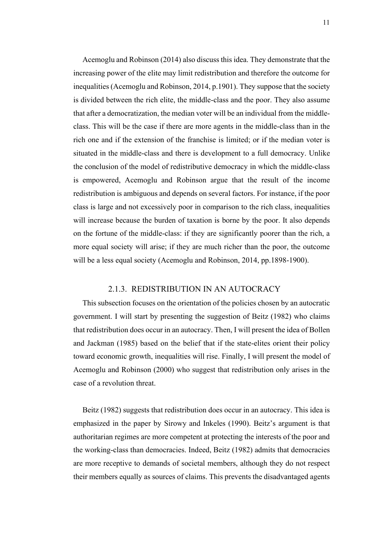Acemoglu and Robinson (2014) also discuss this idea. They demonstrate that the increasing power of the elite may limit redistribution and therefore the outcome for inequalities (Acemoglu and Robinson, 2014, p.1901). They suppose that the society is divided between the rich elite, the middle-class and the poor. They also assume that after a democratization, the median voter will be an individual from the middleclass. This will be the case if there are more agents in the middle-class than in the rich one and if the extension of the franchise is limited; or if the median voter is situated in the middle-class and there is development to a full democracy. Unlike the conclusion of the model of redistributive democracy in which the middle-class is empowered, Acemoglu and Robinson argue that the result of the income redistribution is ambiguous and depends on several factors. For instance, if the poor class is large and not excessively poor in comparison to the rich class, inequalities will increase because the burden of taxation is borne by the poor. It also depends on the fortune of the middle-class: if they are significantly poorer than the rich, a more equal society will arise; if they are much richer than the poor, the outcome will be a less equal society (Acemoglu and Robinson, 2014, pp.1898-1900).

#### 2.1.3. REDISTRIBUTION IN AN AUTOCRACY

<span id="page-14-0"></span>This subsection focuses on the orientation of the policies chosen by an autocratic government. I will start by presenting the suggestion of Beitz (1982) who claims that redistribution does occur in an autocracy. Then, I will present the idea of Bollen and Jackman (1985) based on the belief that if the state-elites orient their policy toward economic growth, inequalities will rise. Finally, I will present the model of Acemoglu and Robinson (2000) who suggest that redistribution only arises in the case of a revolution threat.

Beitz (1982) suggests that redistribution does occur in an autocracy. This idea is emphasized in the paper by Sirowy and Inkeles (1990). Beitz's argument is that authoritarian regimes are more competent at protecting the interests of the poor and the working-class than democracies. Indeed, Beitz (1982) admits that democracies are more receptive to demands of societal members, although they do not respect their members equally as sources of claims. This prevents the disadvantaged agents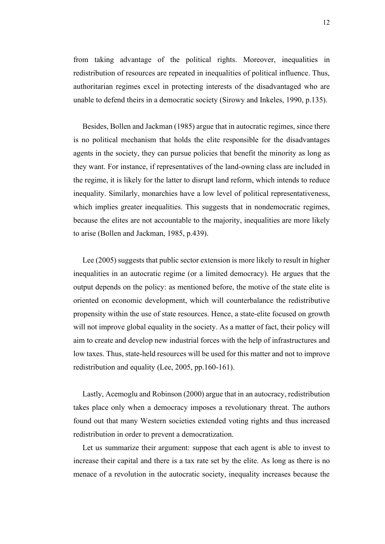from taking advantage of the political rights. Moreover, inequalities in redistribution of resources are repeated in inequalities of political influence. Thus, authoritarian regimes excel in protecting interests of the disadvantaged who are unable to defend theirs in a democratic society (Sirowy and Inkeles, 1990, p.135).

Besides, Bollen and Jackman (1985) argue that in autocratic regimes, since there is no political mechanism that holds the elite responsible for the disadvantages agents in the society, they can pursue policies that benefit the minority as long as they want. For instance, if representatives of the land-owning class are included in the regime, it is likely for the latter to disrupt land reform, which intends to reduce inequality. Similarly, monarchies have a low level of political representativeness, which implies greater inequalities. This suggests that in nondemocratic regimes, because the elites are not accountable to the majority, inequalities are more likely to arise (Bollen and Jackman, 1985, p.439).

Lee (2005) suggests that public sector extension is more likely to result in higher inequalities in an autocratic regime (or a limited democracy). He argues that the output depends on the policy: as mentioned before, the motive of the state elite is oriented on economic development, which will counterbalance the redistributive propensity within the use of state resources. Hence, a state-elite focused on growth will not improve global equality in the society. As a matter of fact, their policy will aim to create and develop new industrial forces with the help of infrastructures and low taxes. Thus, state-held resources will be used for this matter and not to improve redistribution and equality (Lee, 2005, pp.160-161).

Lastly, Acemoglu and Robinson (2000) argue that in an autocracy, redistribution takes place only when a democracy imposes a revolutionary threat. The authors found out that many Western societies extended voting rights and thus increased redistribution in order to prevent a democratization.

Let us summarize their argument: suppose that each agent is able to invest to increase their capital and there is a tax rate set by the elite. As long as there is no menace of a revolution in the autocratic society, inequality increases because the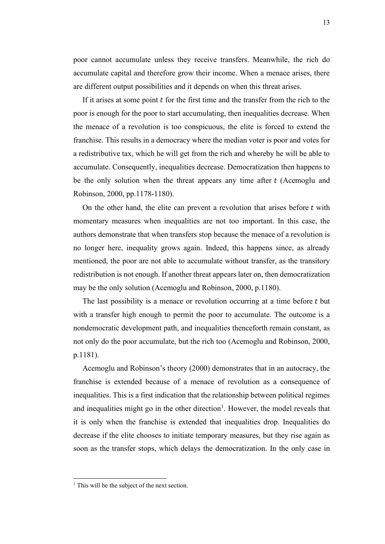poor cannot accumulate unless they receive transfers. Meanwhile, the rich do accumulate capital and therefore grow their income. When a menace arises, there are different output possibilities and it depends on when this threat arises.

If it arises at some point  $t$  for the first time and the transfer from the rich to the poor is enough for the poor to start accumulating, then inequalities decrease. When the menace of a revolution is too conspicuous, the elite is forced to extend the franchise. This results in a democracy where the median voter is poor and votes for a redistributive tax, which he will get from the rich and whereby he will be able to accumulate. Consequently, inequalities decrease. Democratization then happens to be the only solution when the threat appears any time after  $t$  (Acemoglu and Robinson, 2000, pp.1178-1180).

On the other hand, the elite can prevent a revolution that arises before  $t$  with momentary measures when inequalities are not too important. In this case, the authors demonstrate that when transfers stop because the menace of a revolution is no longer here, inequality grows again. Indeed, this happens since, as already mentioned, the poor are not able to accumulate without transfer, as the transitory redistribution is not enough. If another threat appears later on, then democratization may be the only solution (Acemoglu and Robinson, 2000, p.1180).

The last possibility is a menace or revolution occurring at a time before  $t$  but with a transfer high enough to permit the poor to accumulate. The outcome is a nondemocratic development path, and inequalities thenceforth remain constant, as not only do the poor accumulate, but the rich too (Acemoglu and Robinson, 2000, p.1181).

Acemoglu and Robinson's theory (2000) demonstrates that in an autocracy, the franchise is extended because of a menace of revolution as a consequence of inequalities. This is a first indication that the relationship between political regimes and inequalities might go in the other direction<sup>1</sup>. However, the model reveals that it is only when the franchise is extended that inequalities drop. Inequalities do decrease if the elite chooses to initiate temporary measures, but they rise again as soon as the transfer stops, which delays the democratization. In the only case in

 $<sup>1</sup>$  This will be the subject of the next section.</sup>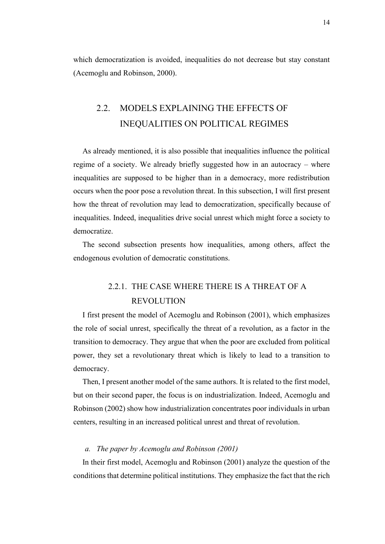which democratization is avoided, inequalities do not decrease but stay constant (Acemoglu and Robinson, 2000).

### <span id="page-17-0"></span>2.2. MODELS EXPLAINING THE EFFECTS OF INEQUALITIES ON POLITICAL REGIMES

As already mentioned, it is also possible that inequalities influence the political regime of a society. We already briefly suggested how in an autocracy – where inequalities are supposed to be higher than in a democracy, more redistribution occurs when the poor pose a revolution threat. In this subsection, I will first present how the threat of revolution may lead to democratization, specifically because of inequalities. Indeed, inequalities drive social unrest which might force a society to democratize.

The second subsection presents how inequalities, among others, affect the endogenous evolution of democratic constitutions.

### 2.2.1. THE CASE WHERE THERE IS A THREAT OF A REVOLUTION

<span id="page-17-1"></span>I first present the model of Acemoglu and Robinson (2001), which emphasizes the role of social unrest, specifically the threat of a revolution, as a factor in the transition to democracy. They argue that when the poor are excluded from political power, they set a revolutionary threat which is likely to lead to a transition to democracy.

Then, I present another model of the same authors. It is related to the first model, but on their second paper, the focus is on industrialization. Indeed, Acemoglu and Robinson (2002) show how industrialization concentrates poor individuals in urban centers, resulting in an increased political unrest and threat of revolution.

#### *a. The paper by Acemoglu and Robinson (2001)*

In their first model, Acemoglu and Robinson (2001) analyze the question of the conditions that determine political institutions. They emphasize the fact that the rich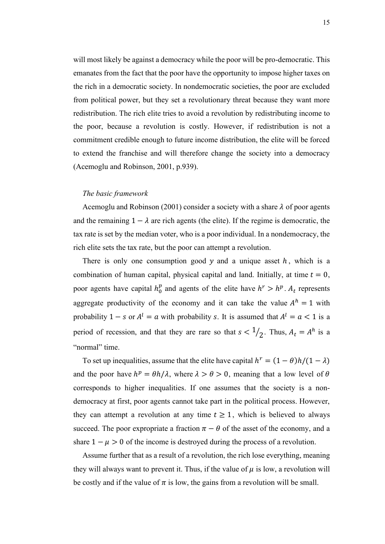will most likely be against a democracy while the poor will be pro-democratic. This emanates from the fact that the poor have the opportunity to impose higher taxes on the rich in a democratic society. In nondemocratic societies, the poor are excluded from political power, but they set a revolutionary threat because they want more redistribution. The rich elite tries to avoid a revolution by redistributing income to the poor, because a revolution is costly. However, if redistribution is not a commitment credible enough to future income distribution, the elite will be forced to extend the franchise and will therefore change the society into a democracy (Acemoglu and Robinson, 2001, p.939).

#### *The basic framework*

Acemoglu and Robinson (2001) consider a society with a share  $\lambda$  of poor agents and the remaining  $1 - \lambda$  are rich agents (the elite). If the regime is democratic, the tax rate is set by the median voter, who is a poor individual. In a nondemocracy, the rich elite sets the tax rate, but the poor can attempt a revolution.

There is only one consumption good  $y$  and a unique asset  $h$ , which is a combination of human capital, physical capital and land. Initially, at time  $t = 0$ , poor agents have capital  $h_0^p$  and agents of the elite have  $h^r > h^p$ .  $A_t$  represents aggregate productivity of the economy and it can take the value  $A<sup>h</sup> = 1$  with probability  $1 - s$  or  $A^l = a$  with probability s. It is assumed that  $A^l = a < 1$  is a period of recession, and that they are rare so that  $s < 1/2$ . Thus,  $A_t = A^h$  is a "normal" time.

To set up inequalities, assume that the elite have capital  $h^r = (1 - \theta)h/(1 - \lambda)$ and the poor have  $h^p = \theta h/\lambda$ , where  $\lambda > \theta > 0$ , meaning that a low level of  $\theta$ corresponds to higher inequalities. If one assumes that the society is a nondemocracy at first, poor agents cannot take part in the political process. However, they can attempt a revolution at any time  $t \geq 1$ , which is believed to always succeed. The poor expropriate a fraction  $\pi - \theta$  of the asset of the economy, and a share  $1 - \mu > 0$  of the income is destroyed during the process of a revolution.

Assume further that as a result of a revolution, the rich lose everything, meaning they will always want to prevent it. Thus, if the value of  $\mu$  is low, a revolution will be costly and if the value of  $\pi$  is low, the gains from a revolution will be small.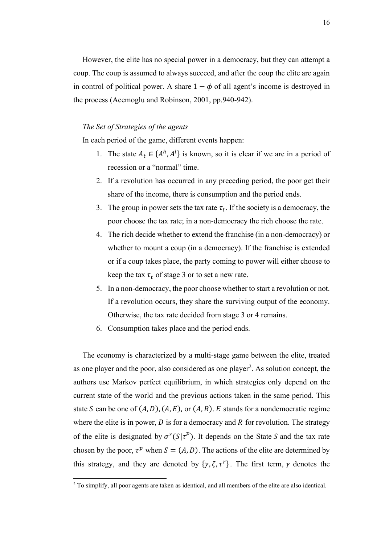However, the elite has no special power in a democracy, but they can attempt a coup. The coup is assumed to always succeed, and after the coup the elite are again in control of political power. A share  $1 - \phi$  of all agent's income is destroyed in the process (Acemoglu and Robinson, 2001, pp.940-942).

#### *The Set of Strategies of the agents*

In each period of the game, different events happen:

- 1. The state  $A_t \in \{A^h, A^l\}$  is known, so it is clear if we are in a period of recession or a "normal" time.
- 2. If a revolution has occurred in any preceding period, the poor get their share of the income, there is consumption and the period ends.
- 3. The group in power sets the tax rate  $\tau_t$ . If the society is a democracy, the poor choose the tax rate; in a non-democracy the rich choose the rate.
- 4. The rich decide whether to extend the franchise (in a non-democracy) or whether to mount a coup (in a democracy). If the franchise is extended or if a coup takes place, the party coming to power will either choose to keep the tax  $\tau_t$  of stage 3 or to set a new rate.
- 5. In a non-democracy, the poor choose whether to start a revolution or not. If a revolution occurs, they share the surviving output of the economy. Otherwise, the tax rate decided from stage 3 or 4 remains.
- 6. Consumption takes place and the period ends.

The economy is characterized by a multi-stage game between the elite, treated as one player and the poor, also considered as one player<sup>2</sup>. As solution concept, the authors use Markov perfect equilibrium, in which strategies only depend on the current state of the world and the previous actions taken in the same period. This state S can be one of  $(A, D)$ ,  $(A, E)$ , or  $(A, R)$ . E stands for a nondemocratic regime where the elite is in power,  $D$  is for a democracy and  $R$  for revolution. The strategy of the elite is designated by  $\sigma^r(S|\tau^p)$ . It depends on the State S and the tax rate chosen by the poor,  $\tau^p$  when  $S = (A, D)$ . The actions of the elite are determined by this strategy, and they are denoted by  $\{\gamma, \zeta, \tau^r\}$ . The first term,  $\gamma$  denotes the

<sup>&</sup>lt;sup>2</sup> To simplify, all poor agents are taken as identical, and all members of the elite are also identical.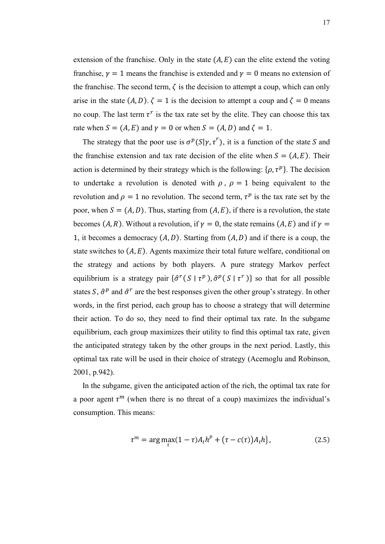extension of the franchise. Only in the state  $(A, E)$  can the elite extend the voting franchise,  $\gamma = 1$  means the franchise is extended and  $\gamma = 0$  means no extension of the franchise. The second term,  $\zeta$  is the decision to attempt a coup, which can only arise in the state  $(A, D)$ .  $\zeta = 1$  is the decision to attempt a coup and  $\zeta = 0$  means no coup. The last term  $\tau^r$  is the tax rate set by the elite. They can choose this tax rate when  $S = (A, E)$  and  $\gamma = 0$  or when  $S = (A, D)$  and  $\zeta = 1$ .

The strategy that the poor use is  $\sigma^p(S|\gamma, \tau^r)$ , it is a function of the state S and the franchise extension and tax rate decision of the elite when  $S = (A, E)$ . Their action is determined by their strategy which is the following:  $\{\rho, \tau^p\}$ . The decision to undertake a revolution is denoted with  $\rho$ ,  $\rho = 1$  being equivalent to the revolution and  $\rho = 1$  no revolution. The second term,  $\tau^p$  is the tax rate set by the poor, when  $S = (A, D)$ . Thus, starting from  $(A, E)$ , if there is a revolution, the state becomes (A, R). Without a revolution, if  $\gamma = 0$ , the state remains (A, E) and if  $\gamma =$ 1, it becomes a democracy  $(A, D)$ . Starting from  $(A, D)$  and if there is a coup, the state switches to  $(A, E)$ . Agents maximize their total future welfare, conditional on the strategy and actions by both players. A pure strategy Markov perfect equilibrium is a strategy pair  $\{\hat{\sigma}^r(S | \tau^p), \hat{\sigma}^p(S | \tau^r)\}\$  so that for all possible states S,  $\hat{\sigma}^p$  and  $\hat{\sigma}^r$  are the best responses given the other group's strategy. In other words, in the first period, each group has to choose a strategy that will determine their action. To do so, they need to find their optimal tax rate. In the subgame equilibrium, each group maximizes their utility to find this optimal tax rate, given the anticipated strategy taken by the other groups in the next period. Lastly, this optimal tax rate will be used in their choice of strategy (Acemoglu and Robinson, 2001, p.942).

In the subgame, given the anticipated action of the rich, the optimal tax rate for a poor agent  $\tau^m$  (when there is no threat of a coup) maximizes the individual's consumption. This means:

$$
\tau^m = \arg\max_{\tau} (1 - \tau) A_t h^p + (\tau - c(\tau)) A_t h \}, \tag{2.5}
$$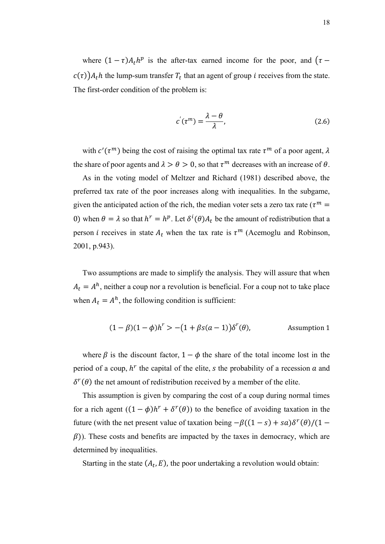where  $(1 - \tau)A_t h^p$  is the after-tax earned income for the poor, and  $(\tau$  $c(\tau)$ ) $A_t h$  the lump-sum transfer  $T_t$  that an agent of group *i* receives from the state. The first-order condition of the problem is:

$$
c'(\tau^m) = \frac{\lambda - \theta}{\lambda},\tag{2.6}
$$

with  $c'(\tau^m)$  being the cost of raising the optimal tax rate  $\tau^m$  of a poor agent,  $\lambda$ the share of poor agents and  $\lambda > \theta > 0$ , so that  $\tau^m$  decreases with an increase of  $\theta$ .

As in the voting model of Meltzer and Richard (1981) described above, the preferred tax rate of the poor increases along with inequalities. In the subgame, given the anticipated action of the rich, the median voter sets a zero tax rate ( $\tau^m$  = 0) when  $\theta = \lambda$  so that  $h^r = h^p$ . Let  $\delta^i(\theta) A_t$  be the amount of redistribution that a person *i* receives in state  $A_t$  when the tax rate is  $\tau^m$  (Acemoglu and Robinson, 2001, p.943).

Two assumptions are made to simplify the analysis. They will assure that when  $A_t = A^h$ , neither a coup nor a revolution is beneficial. For a coup not to take place when  $A_t = A^h$ , the following condition is sufficient:

$$
(1 - \beta)(1 - \phi)h^r > -(1 + \beta s(a - 1))\delta^r(\theta),
$$
 Assumption 1

where  $\beta$  is the discount factor,  $1 - \phi$  the share of the total income lost in the period of a coup,  $h^r$  the capital of the elite, s the probability of a recession  $a$  and  $\delta^r(\theta)$  the net amount of redistribution received by a member of the elite.

This assumption is given by comparing the cost of a coup during normal times for a rich agent  $((1 - \phi)h^r + \delta^r(\theta))$  to the benefice of avoiding taxation in the future (with the net present value of taxation being  $-\beta((1-s) + \alpha)\delta^{r}(\theta)/(1-s)$  $(\beta)$ ). These costs and benefits are impacted by the taxes in democracy, which are determined by inequalities.

Starting in the state  $(A_t, E)$ , the poor undertaking a revolution would obtain: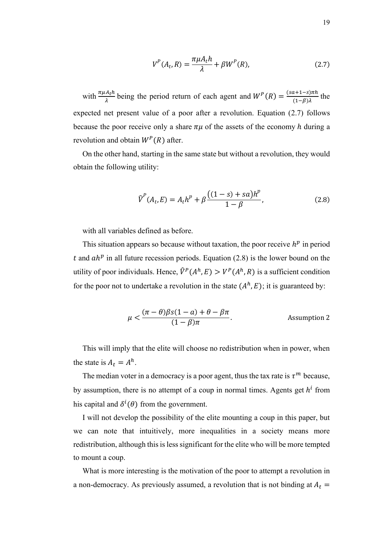$$
V^{P}(A_{t}, R) = \frac{\pi \mu A_{t} h}{\lambda} + \beta W^{P}(R),
$$
\n(2.7)

with  $\frac{\pi \mu A_t h}{\lambda}$  being the period return of each agent and  $W^P(R) = \frac{(sa+1-s)\pi h}{(1-\beta)\lambda}$  $\frac{\lambda+1-5}{(1-\beta)\lambda}$  the expected net present value of a poor after a revolution. Equation (2.7) follows because the poor receive only a share  $\pi\mu$  of the assets of the economy h during a revolution and obtain  $W^P(R)$  after.

On the other hand, starting in the same state but without a revolution, they would obtain the following utility:

$$
\widehat{V}^{P}(A_{t}, E) = A_{t}h^{p} + \beta \frac{((1-s) + sa)h^{p}}{1 - \beta},
$$
\n(2.8)

with all variables defined as before.

This situation appears so because without taxation, the poor receive  $h^p$  in period t and  $ah^p$  in all future recession periods. Equation (2.8) is the lower bound on the utility of poor individuals. Hence,  $\hat{V}^P(A^h, E) > V^P(A^h, R)$  is a sufficient condition for the poor not to undertake a revolution in the state  $(A<sup>h</sup>, E)$ ; it is guaranteed by:

$$
\mu < \frac{(\pi - \theta)\beta s(1 - a) + \theta - \beta \pi}{(1 - \beta)\pi}.
$$
 Assumption 2

This will imply that the elite will choose no redistribution when in power, when the state is  $A_t = A^h$ .

The median voter in a democracy is a poor agent, thus the tax rate is  $\tau^m$  because, by assumption, there is no attempt of a coup in normal times. Agents get  $h^i$  from his capital and  $\delta^i(\theta)$  from the government.

I will not develop the possibility of the elite mounting a coup in this paper, but we can note that intuitively, more inequalities in a society means more redistribution, although this is less significant for the elite who will be more tempted to mount a coup.

What is more interesting is the motivation of the poor to attempt a revolution in a non-democracy. As previously assumed, a revolution that is not binding at  $A_t =$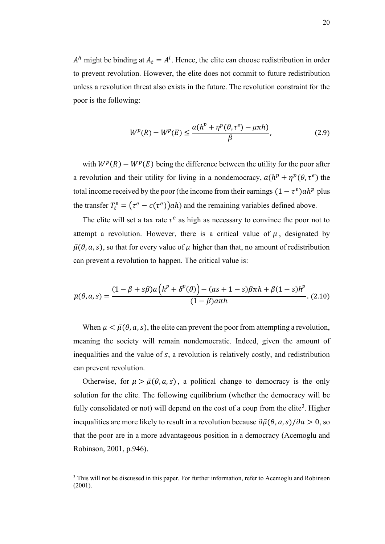$A<sup>h</sup>$  might be binding at  $A<sub>t</sub> = A<sup>l</sup>$ . Hence, the elite can choose redistribution in order to prevent revolution. However, the elite does not commit to future redistribution unless a revolution threat also exists in the future. The revolution constraint for the poor is the following:

$$
W^{p}(R) - W^{p}(E) \le \frac{a(h^{p} + \eta^{p}(\theta, \tau^{e}) - \mu \pi h)}{\beta},
$$
\n(2.9)

with  $W^p(R) - W^p(E)$  being the difference between the utility for the poor after a revolution and their utility for living in a nondemocracy,  $a(h^p + \eta^p(\theta, \tau^e))$  the total income received by the poor (the income from their earnings  $(1 - \tau^e)ah^p$  plus the transfer  $T_t^e = (\tau^e - c(\tau^e))ah$  and the remaining variables defined above.

The elite will set a tax rate  $\tau^e$  as high as necessary to convince the poor not to attempt a revolution. However, there is a critical value of  $\mu$ , designated by  $\bar{\mu}(\theta, a, s)$ , so that for every value of  $\mu$  higher than that, no amount of redistribution can prevent a revolution to happen. The critical value is:

$$
\overline{\mu}(\theta, a, s) = \frac{(1 - \beta + s\beta)a\left(h^p + \delta^p(\theta)\right) - (as + 1 - s)\beta\pi h + \beta(1 - s)h^p}{(1 - \beta)a\pi h}.
$$
 (2.10)

When  $\mu < \bar{\mu}(\theta, a, s)$ , the elite can prevent the poor from attempting a revolution, meaning the society will remain nondemocratic. Indeed, given the amount of inequalities and the value of  $s$ , a revolution is relatively costly, and redistribution can prevent revolution.

Otherwise, for  $\mu > \bar{\mu}(\theta, a, s)$ , a political change to democracy is the only solution for the elite. The following equilibrium (whether the democracy will be fully consolidated or not) will depend on the cost of a coup from the elite<sup>3</sup>. Higher inequalities are more likely to result in a revolution because  $\frac{\partial \bar{\mu}(\theta, a, s)}{\partial a} > 0$ , so that the poor are in a more advantageous position in a democracy (Acemoglu and Robinson, 2001, p.946).

<sup>&</sup>lt;sup>3</sup> This will not be discussed in this paper. For further information, refer to Acemoglu and Robinson (2001).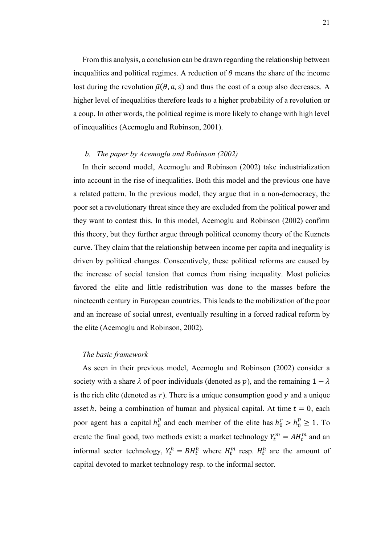From this analysis, a conclusion can be drawn regarding the relationship between inequalities and political regimes. A reduction of  $\theta$  means the share of the income lost during the revolution  $\bar{\mu}(\theta, a, s)$  and thus the cost of a coup also decreases. A higher level of inequalities therefore leads to a higher probability of a revolution or a coup. In other words, the political regime is more likely to change with high level of inequalities (Acemoglu and Robinson, 2001).

#### *b. The paper by Acemoglu and Robinson (2002)*

In their second model, Acemoglu and Robinson (2002) take industrialization into account in the rise of inequalities. Both this model and the previous one have a related pattern. In the previous model, they argue that in a non-democracy, the poor set a revolutionary threat since they are excluded from the political power and they want to contest this. In this model, Acemoglu and Robinson (2002) confirm this theory, but they further argue through political economy theory of the Kuznets curve. They claim that the relationship between income per capita and inequality is driven by political changes. Consecutively, these political reforms are caused by the increase of social tension that comes from rising inequality. Most policies favored the elite and little redistribution was done to the masses before the nineteenth century in European countries. This leads to the mobilization of the poor and an increase of social unrest, eventually resulting in a forced radical reform by the elite (Acemoglu and Robinson, 2002).

#### *The basic framework*

As seen in their previous model, Acemoglu and Robinson (2002) consider a society with a share  $\lambda$  of poor individuals (denoted as p), and the remaining  $1 - \lambda$ is the rich elite (denoted as  $r$ ). There is a unique consumption good  $y$  and a unique asset h, being a combination of human and physical capital. At time  $t = 0$ , each poor agent has a capital  $h_0^p$  and each member of the elite has  $h_0^r > h_0^p \ge 1$ . To create the final good, two methods exist: a market technology  $Y_t^m = AH_t^m$  and an informal sector technology,  $Y_t^h = BH_t^h$  where  $H_t^m$  resp.  $H_t^h$  are the amount of capital devoted to market technology resp. to the informal sector.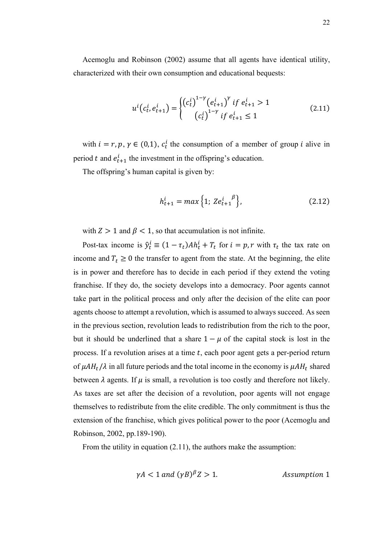Acemoglu and Robinson (2002) assume that all agents have identical utility, characterized with their own consumption and educational bequests:

$$
u^{i}(c_{t}^{i}, e_{t+1}^{i}) = \begin{cases} (c_{t}^{i})^{1-\gamma} (e_{t+1}^{i})^{\gamma} \text{ if } e_{t+1}^{i} > 1\\ (c_{t}^{i})^{1-\gamma} \text{ if } e_{t+1}^{i} \leq 1 \end{cases}
$$
(2.11)

with  $i = r, p, \gamma \in (0, 1), c_t^i$  the consumption of a member of group *i* alive in period t and  $e_{t+1}^i$  the investment in the offspring's education.

The offspring's human capital is given by:

$$
h_{t+1}^i = \max\left\{1; Z e_{t+1}^{i} \right\},\tag{2.12}
$$

with  $Z > 1$  and  $\beta < 1$ , so that accumulation is not infinite.

Post-tax income is  $\hat{y}_t^i \equiv (1 - \tau_t) Ah_t^i + T_t$  for  $i = p, r$  with  $\tau_t$  the tax rate on income and  $T_t \geq 0$  the transfer to agent from the state. At the beginning, the elite is in power and therefore has to decide in each period if they extend the voting franchise. If they do, the society develops into a democracy. Poor agents cannot take part in the political process and only after the decision of the elite can poor agents choose to attempt a revolution, which is assumed to always succeed. As seen in the previous section, revolution leads to redistribution from the rich to the poor, but it should be underlined that a share  $1 - \mu$  of the capital stock is lost in the process. If a revolution arises at a time  $t$ , each poor agent gets a per-period return of  $\mu A H_t / \lambda$  in all future periods and the total income in the economy is  $\mu A H_t$  shared between  $\lambda$  agents. If  $\mu$  is small, a revolution is too costly and therefore not likely. As taxes are set after the decision of a revolution, poor agents will not engage themselves to redistribute from the elite credible. The only commitment is thus the extension of the franchise, which gives political power to the poor (Acemoglu and Robinson, 2002, pp.189-190).

From the utility in equation (2.11), the authors make the assumption:

$$
\gamma A < 1 \text{ and } (\gamma B)^{\beta} Z > 1. \tag{Assumption 1}
$$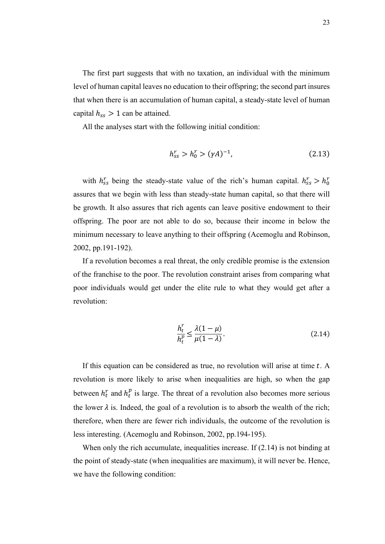The first part suggests that with no taxation, an individual with the minimum level of human capital leaves no education to their offspring; the second part insures that when there is an accumulation of human capital, a steady-state level of human capital  $h_{ss} > 1$  can be attained.

All the analyses start with the following initial condition:

$$
h_{ss}^r > h_0^r > (\gamma A)^{-1},\tag{2.13}
$$

with  $h_{ss}^r$  being the steady-state value of the rich's human capital.  $h_{ss}^r > h_0^r$ assures that we begin with less than steady-state human capital, so that there will be growth. It also assures that rich agents can leave positive endowment to their offspring. The poor are not able to do so, because their income in below the minimum necessary to leave anything to their offspring (Acemoglu and Robinson, 2002, pp.191-192).

If a revolution becomes a real threat, the only credible promise is the extension of the franchise to the poor. The revolution constraint arises from comparing what poor individuals would get under the elite rule to what they would get after a revolution:

$$
\frac{h_t^r}{h_t^p} \le \frac{\lambda(1-\mu)}{\mu(1-\lambda)}.\tag{2.14}
$$

If this equation can be considered as true, no revolution will arise at time  $t$ . A revolution is more likely to arise when inequalities are high, so when the gap between  $h_t^r$  and  $h_t^p$  is large. The threat of a revolution also becomes more serious the lower  $\lambda$  is. Indeed, the goal of a revolution is to absorb the wealth of the rich; therefore, when there are fewer rich individuals, the outcome of the revolution is less interesting. (Acemoglu and Robinson, 2002, pp.194-195).

When only the rich accumulate, inequalities increase. If  $(2.14)$  is not binding at the point of steady-state (when inequalities are maximum), it will never be. Hence, we have the following condition: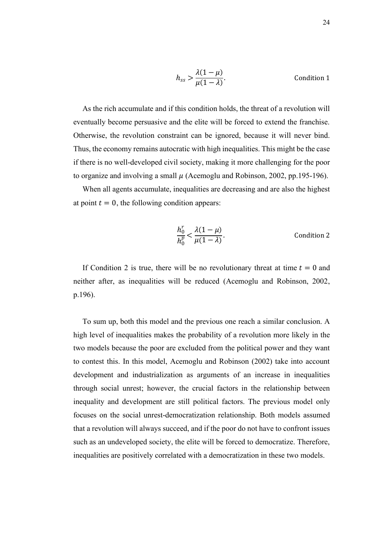$$
h_{ss} > \frac{\lambda(1-\mu)}{\mu(1-\lambda)}.
$$
 Condition 1

As the rich accumulate and if this condition holds, the threat of a revolution will eventually become persuasive and the elite will be forced to extend the franchise. Otherwise, the revolution constraint can be ignored, because it will never bind. Thus, the economy remains autocratic with high inequalities. This might be the case if there is no well-developed civil society, making it more challenging for the poor to organize and involving a small  $\mu$  (Acemoglu and Robinson, 2002, pp.195-196).

When all agents accumulate, inequalities are decreasing and are also the highest at point  $t = 0$ , the following condition appears:

$$
\frac{h_0^r}{h_0^p} < \frac{\lambda(1-\mu)}{\mu(1-\lambda)}.\tag{Condition 2}
$$

If Condition 2 is true, there will be no revolutionary threat at time  $t = 0$  and neither after, as inequalities will be reduced (Acemoglu and Robinson, 2002, p.196).

To sum up, both this model and the previous one reach a similar conclusion. A high level of inequalities makes the probability of a revolution more likely in the two models because the poor are excluded from the political power and they want to contest this. In this model, Acemoglu and Robinson (2002) take into account development and industrialization as arguments of an increase in inequalities through social unrest; however, the crucial factors in the relationship between inequality and development are still political factors. The previous model only focuses on the social unrest-democratization relationship. Both models assumed that a revolution will always succeed, and if the poor do not have to confront issues such as an undeveloped society, the elite will be forced to democratize. Therefore, inequalities are positively correlated with a democratization in these two models.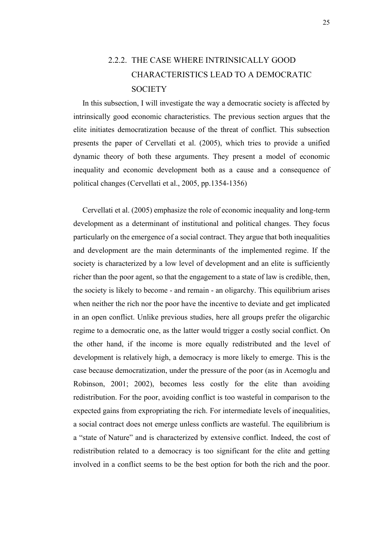### <span id="page-28-0"></span>2.2.2. THE CASE WHERE INTRINSICALLY GOOD CHARACTERISTICS LEAD TO A DEMOCRATIC **SOCIETY**

In this subsection, I will investigate the way a democratic society is affected by intrinsically good economic characteristics. The previous section argues that the elite initiates democratization because of the threat of conflict. This subsection presents the paper of Cervellati et al. (2005), which tries to provide a unified dynamic theory of both these arguments. They present a model of economic inequality and economic development both as a cause and a consequence of political changes (Cervellati et al., 2005, pp.1354-1356)

Cervellati et al. (2005) emphasize the role of economic inequality and long-term development as a determinant of institutional and political changes. They focus particularly on the emergence of a social contract. They argue that both inequalities and development are the main determinants of the implemented regime. If the society is characterized by a low level of development and an elite is sufficiently richer than the poor agent, so that the engagement to a state of law is credible, then, the society is likely to become - and remain - an oligarchy. This equilibrium arises when neither the rich nor the poor have the incentive to deviate and get implicated in an open conflict. Unlike previous studies, here all groups prefer the oligarchic regime to a democratic one, as the latter would trigger a costly social conflict. On the other hand, if the income is more equally redistributed and the level of development is relatively high, a democracy is more likely to emerge. This is the case because democratization, under the pressure of the poor (as in Acemoglu and Robinson, 2001; 2002), becomes less costly for the elite than avoiding redistribution. For the poor, avoiding conflict is too wasteful in comparison to the expected gains from expropriating the rich. For intermediate levels of inequalities, a social contract does not emerge unless conflicts are wasteful. The equilibrium is a "state of Nature" and is characterized by extensive conflict. Indeed, the cost of redistribution related to a democracy is too significant for the elite and getting involved in a conflict seems to be the best option for both the rich and the poor.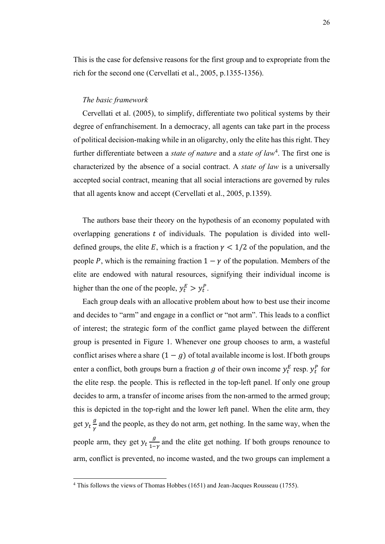This is the case for defensive reasons for the first group and to expropriate from the rich for the second one (Cervellati et al., 2005, p.1355-1356).

#### *The basic framework*

Cervellati et al. (2005), to simplify, differentiate two political systems by their degree of enfranchisement. In a democracy, all agents can take part in the process of political decision-making while in an oligarchy, only the elite has this right. They further differentiate between a *state of nature* and a *state of law*<sup>4</sup> . The first one is characterized by the absence of a social contract. A *state of law* is a universally accepted social contract, meaning that all social interactions are governed by rules that all agents know and accept (Cervellati et al., 2005, p.1359).

The authors base their theory on the hypothesis of an economy populated with overlapping generations  $t$  of individuals. The population is divided into welldefined groups, the elite E, which is a fraction  $\gamma$  < 1/2 of the population, and the people P, which is the remaining fraction  $1 - \gamma$  of the population. Members of the elite are endowed with natural resources, signifying their individual income is higher than the one of the people,  $y_t^E > y_t^P$ .

Each group deals with an allocative problem about how to best use their income and decides to "arm" and engage in a conflict or "not arm". This leads to a conflict of interest; the strategic form of the conflict game played between the different group is presented in Figure 1. Whenever one group chooses to arm, a wasteful conflict arises where a share  $(1 - g)$  of total available income is lost. If both groups enter a conflict, both groups burn a fraction g of their own income  $y_t^E$  resp.  $y_t^P$  for the elite resp. the people. This is reflected in the top-left panel. If only one group decides to arm, a transfer of income arises from the non-armed to the armed group; this is depicted in the top-right and the lower left panel. When the elite arm, they get  $y_t \frac{g}{v}$  $\frac{g}{\gamma}$  and the people, as they do not arm, get nothing. In the same way, when the people arm, they get  $y_t \frac{g}{1 - g}$  $\frac{y}{1-y}$  and the elite get nothing. If both groups renounce to arm, conflict is prevented, no income wasted, and the two groups can implement a

<sup>&</sup>lt;sup>4</sup> This follows the views of Thomas Hobbes (1651) and Jean-Jacques Rousseau (1755).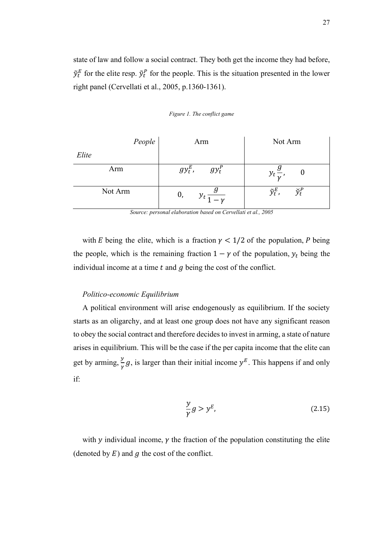state of law and follow a social contract. They both get the income they had before,  $\tilde{y}_t^E$  for the elite resp.  $\tilde{y}_t^P$  for the people. This is the situation presented in the lower right panel (Cervellati et al., 2005, p.1360-1361).

<span id="page-30-0"></span>

| People  | Arm                    | Not Arm                                            |
|---------|------------------------|----------------------------------------------------|
| Elite   |                        |                                                    |
| Arm     | $gy_t^E$ ,<br>$gy_t^P$ | $y_t \frac{g}{v}$                                  |
| Not Arm | 0,<br>$y_t$ =          | $\tilde{y}_t^E$ ,<br>$\widecheck{\mathcal{V}}_t^F$ |

*Figure 1. The conflict game* 

*Source: personal elaboration based on Cervellati et al., 2005*

with *E* being the elite, which is a fraction  $\gamma$  < 1/2 of the population, *P* being the people, which is the remaining fraction  $1 - \gamma$  of the population,  $y_t$  being the individual income at a time  $t$  and  $g$  being the cost of the conflict.

#### *Politico-economic Equilibrium*

A political environment will arise endogenously as equilibrium. If the society starts as an oligarchy, and at least one group does not have any significant reason to obey the social contract and therefore decides to invest in arming, a state of nature arises in equilibrium. This will be the case if the per capita income that the elite can get by arming,  $\frac{y}{y}$  $\frac{y}{\gamma}$  g, is larger than their initial income  $y^E$ . This happens if and only if:

$$
\frac{y}{\gamma}g > y^E,\tag{2.15}
$$

with  $\gamma$  individual income,  $\gamma$  the fraction of the population constituting the elite (denoted by  $E$ ) and  $q$  the cost of the conflict.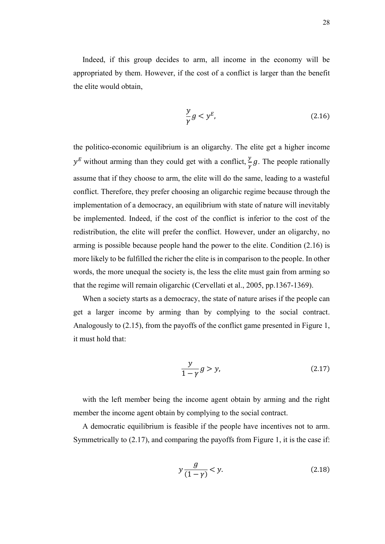Indeed, if this group decides to arm, all income in the economy will be appropriated by them. However, if the cost of a conflict is larger than the benefit the elite would obtain,

$$
\frac{y}{\gamma}g < y^E,\tag{2.16}
$$

the politico-economic equilibrium is an oligarchy. The elite get a higher income  $y^E$  without arming than they could get with a conflict,  $\frac{y}{\gamma}g$ . The people rationally assume that if they choose to arm, the elite will do the same, leading to a wasteful conflict. Therefore, they prefer choosing an oligarchic regime because through the implementation of a democracy, an equilibrium with state of nature will inevitably be implemented. Indeed, if the cost of the conflict is inferior to the cost of the redistribution, the elite will prefer the conflict. However, under an oligarchy, no arming is possible because people hand the power to the elite. Condition (2.16) is more likely to be fulfilled the richer the elite is in comparison to the people. In other words, the more unequal the society is, the less the elite must gain from arming so that the regime will remain oligarchic (Cervellati et al., 2005, pp.1367-1369).

When a society starts as a democracy, the state of nature arises if the people can get a larger income by arming than by complying to the social contract. Analogously to (2.15), from the payoffs of the conflict game presented in Figure 1, it must hold that:

$$
\frac{y}{1-\gamma}g > y,\tag{2.17}
$$

with the left member being the income agent obtain by arming and the right member the income agent obtain by complying to the social contract.

A democratic equilibrium is feasible if the people have incentives not to arm. Symmetrically to (2.17), and comparing the payoffs from Figure 1, it is the case if:

$$
y\frac{g}{(1-\gamma)} < y.\tag{2.18}
$$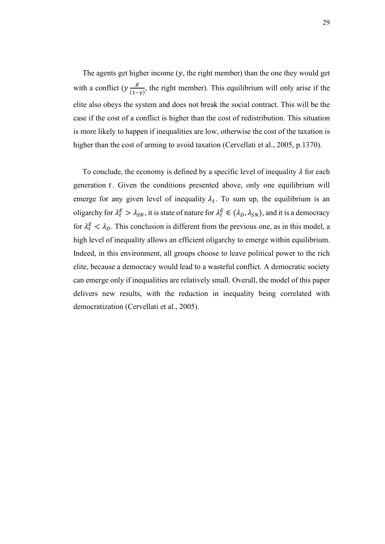The agents get higher income  $(y,$  the right member) than the one they would get with a conflict  $(y - g)$  $\frac{y}{(1-y)}$ , the right member). This equilibrium will only arise if the elite also obeys the system and does not break the social contract. This will be the case if the cost of a conflict is higher than the cost of redistribution. This situation is more likely to happen if inequalities are low, otherwise the cost of the taxation is higher than the cost of arming to avoid taxation (Cervellati et al., 2005, p.1370).

To conclude, the economy is defined by a specific level of inequality  $\lambda$  for each generation  $t$ . Given the conditions presented above, only one equilibrium will emerge for any given level of inequality  $\lambda_t$ . To sum up, the equilibrium is an oligarchy for  $\lambda_t^E > \lambda_{SN}$ , it is state of nature for  $\lambda_t^E \in (\lambda_D, \lambda_{SN})$ , and it is a democracy for  $\lambda_t^E < \lambda_D$ . This conclusion is different from the previous one, as in this model, a high level of inequality allows an efficient oligarchy to emerge within equilibrium. Indeed, in this environment, all groups choose to leave political power to the rich elite, because a democracy would lead to a wasteful conflict. A democratic society can emerge only if inequalities are relatively small. Overall, the model of this paper delivers new results, with the reduction in inequality being correlated with democratization (Cervellati et al., 2005).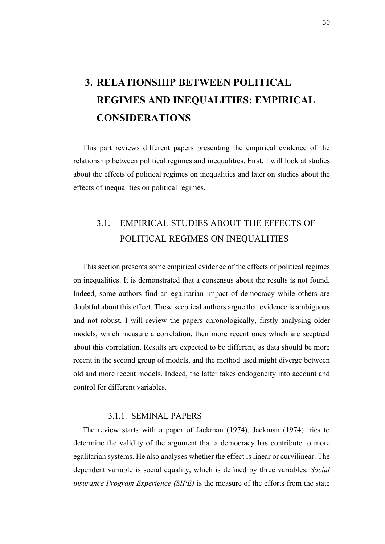# <span id="page-33-0"></span>**3. RELATIONSHIP BETWEEN POLITICAL REGIMES AND INEQUALITIES: EMPIRICAL CONSIDERATIONS**

This part reviews different papers presenting the empirical evidence of the relationship between political regimes and inequalities. First, I will look at studies about the effects of political regimes on inequalities and later on studies about the effects of inequalities on political regimes.

### <span id="page-33-1"></span>3.1. EMPIRICAL STUDIES ABOUT THE EFFECTS OF POLITICAL REGIMES ON INEQUALITIES

This section presents some empirical evidence of the effects of political regimes on inequalities. It is demonstrated that a consensus about the results is not found. Indeed, some authors find an egalitarian impact of democracy while others are doubtful about this effect. These sceptical authors argue that evidence is ambiguous and not robust. I will review the papers chronologically, firstly analysing older models, which measure a correlation, then more recent ones which are sceptical about this correlation. Results are expected to be different, as data should be more recent in the second group of models, and the method used might diverge between old and more recent models. Indeed, the latter takes endogeneity into account and control for different variables.

#### 3.1.1. SEMINAL PAPERS

<span id="page-33-2"></span>The review starts with a paper of Jackman (1974). Jackman (1974) tries to determine the validity of the argument that a democracy has contribute to more egalitarian systems. He also analyses whether the effect is linear or curvilinear. The dependent variable is social equality, which is defined by three variables. *Social insurance Program Experience (SIPE)* is the measure of the efforts from the state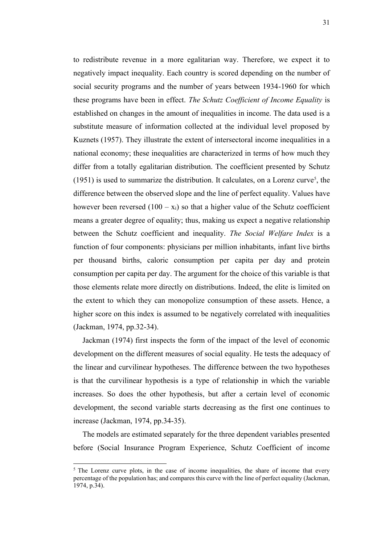31

to redistribute revenue in a more egalitarian way. Therefore, we expect it to negatively impact inequality. Each country is scored depending on the number of social security programs and the number of years between 1934-1960 for which these programs have been in effect. *The Schutz Coefficient of Income Equality* is established on changes in the amount of inequalities in income. The data used is a substitute measure of information collected at the individual level proposed by Kuznets (1957). They illustrate the extent of intersectoral income inequalities in a national economy; these inequalities are characterized in terms of how much they differ from a totally egalitarian distribution. The coefficient presented by Schutz  $(1951)$  is used to summarize the distribution. It calculates, on a Lorenz curve<sup>5</sup>, the difference between the observed slope and the line of perfect equality. Values have however been reversed  $(100 - x_i)$  so that a higher value of the Schutz coefficient means a greater degree of equality; thus, making us expect a negative relationship between the Schutz coefficient and inequality. *The Social Welfare Index* is a function of four components: physicians per million inhabitants, infant live births per thousand births, caloric consumption per capita per day and protein consumption per capita per day. The argument for the choice of this variable is that those elements relate more directly on distributions. Indeed, the elite is limited on the extent to which they can monopolize consumption of these assets. Hence, a higher score on this index is assumed to be negatively correlated with inequalities (Jackman, 1974, pp.32-34).

Jackman (1974) first inspects the form of the impact of the level of economic development on the different measures of social equality. He tests the adequacy of the linear and curvilinear hypotheses. The difference between the two hypotheses is that the curvilinear hypothesis is a type of relationship in which the variable increases. So does the other hypothesis, but after a certain level of economic development, the second variable starts decreasing as the first one continues to increase (Jackman, 1974, pp.34-35).

The models are estimated separately for the three dependent variables presented before (Social Insurance Program Experience, Schutz Coefficient of income

 $<sup>5</sup>$  The Lorenz curve plots, in the case of income inequalities, the share of income that every</sup> percentage of the population has; and compares this curve with the line of perfect equality (Jackman, 1974, p.34).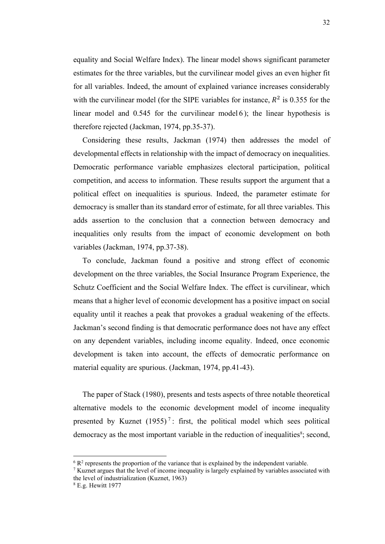equality and Social Welfare Index). The linear model shows significant parameter estimates for the three variables, but the curvilinear model gives an even higher fit for all variables. Indeed, the amount of explained variance increases considerably with the curvilinear model (for the SIPE variables for instance,  $R^2$  is 0.355 for the linear model and 0.545 for the curvilinear model 6 ); the linear hypothesis is therefore rejected (Jackman, 1974, pp.35-37).

Considering these results, Jackman (1974) then addresses the model of developmental effects in relationship with the impact of democracy on inequalities. Democratic performance variable emphasizes electoral participation, political competition, and access to information. These results support the argument that a political effect on inequalities is spurious. Indeed, the parameter estimate for democracy is smaller than its standard error of estimate, for all three variables. This adds assertion to the conclusion that a connection between democracy and inequalities only results from the impact of economic development on both variables (Jackman, 1974, pp.37-38).

To conclude, Jackman found a positive and strong effect of economic development on the three variables, the Social Insurance Program Experience, the Schutz Coefficient and the Social Welfare Index. The effect is curvilinear, which means that a higher level of economic development has a positive impact on social equality until it reaches a peak that provokes a gradual weakening of the effects. Jackman's second finding is that democratic performance does not have any effect on any dependent variables, including income equality. Indeed, once economic development is taken into account, the effects of democratic performance on material equality are spurious. (Jackman, 1974, pp.41-43).

The paper of Stack (1980), presents and tests aspects of three notable theoretical alternative models to the economic development model of income inequality presented by Kuznet  $(1955)^7$ : first, the political model which sees political democracy as the most important variable in the reduction of inequalities<sup>8</sup>; second,

 $6 R<sup>2</sup>$  represents the proportion of the variance that is explained by the independent variable.

 $<sup>7</sup>$  Kuznet argues that the level of income inequality is largely explained by variables associated with</sup> the level of industrialization (Kuznet, 1963)

<sup>8</sup> E.g. Hewitt 1977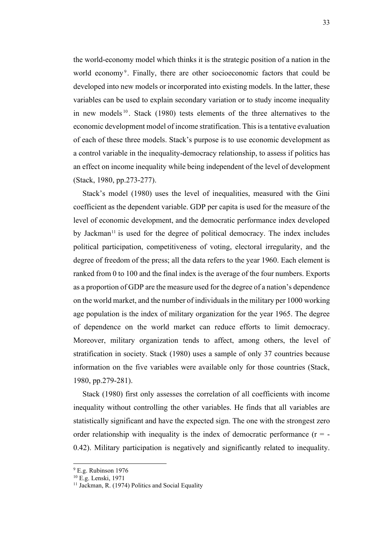the world-economy model which thinks it is the strategic position of a nation in the world economy<sup>9</sup>. Finally, there are other socioeconomic factors that could be developed into new models or incorporated into existing models. In the latter, these variables can be used to explain secondary variation or to study income inequality in new models  $10$ . Stack (1980) tests elements of the three alternatives to the economic development model of income stratification. This is a tentative evaluation of each of these three models. Stack's purpose is to use economic development as a control variable in the inequality-democracy relationship, to assess if politics has an effect on income inequality while being independent of the level of development (Stack, 1980, pp.273-277).

Stack's model (1980) uses the level of inequalities, measured with the Gini coefficient as the dependent variable. GDP per capita is used for the measure of the level of economic development, and the democratic performance index developed by Jackman<sup>11</sup> is used for the degree of political democracy. The index includes political participation, competitiveness of voting, electoral irregularity, and the degree of freedom of the press; all the data refers to the year 1960. Each element is ranked from 0 to 100 and the final index is the average of the four numbers. Exports as a proportion of GDP are the measure used for the degree of a nation's dependence on the world market, and the number of individuals in the military per 1000 working age population is the index of military organization for the year 1965. The degree of dependence on the world market can reduce efforts to limit democracy. Moreover, military organization tends to affect, among others, the level of stratification in society. Stack (1980) uses a sample of only 37 countries because information on the five variables were available only for those countries (Stack, 1980, pp.279-281).

Stack (1980) first only assesses the correlation of all coefficients with income inequality without controlling the other variables. He finds that all variables are statistically significant and have the expected sign. The one with the strongest zero order relationship with inequality is the index of democratic performance  $(r = -1)$ 0.42). Military participation is negatively and significantly related to inequality.

<sup>9</sup> E.g. Rubinson 1976

<sup>10</sup> E.g. Lenski, 1971

 $11$  Jackman, R. (1974) Politics and Social Equality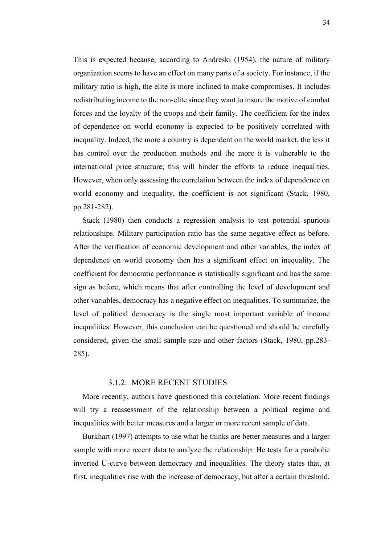This is expected because, according to Andreski (1954), the nature of military organization seems to have an effect on many parts of a society. For instance, if the military ratio is high, the elite is more inclined to make compromises. It includes redistributing income to the non-elite since they want to insure the motive of combat forces and the loyalty of the troops and their family. The coefficient for the index of dependence on world economy is expected to be positively correlated with inequality. Indeed, the more a country is dependent on the world market, the less it has control over the production methods and the more it is vulnerable to the international price structure; this will hinder the efforts to reduce inequalities. However, when only assessing the correlation between the index of dependence on world economy and inequality, the coefficient is not significant (Stack, 1980, pp.281-282).

Stack (1980) then conducts a regression analysis to test potential spurious relationships. Military participation ratio has the same negative effect as before. After the verification of economic development and other variables, the index of dependence on world economy then has a significant effect on inequality. The coefficient for democratic performance is statistically significant and has the same sign as before, which means that after controlling the level of development and other variables, democracy has a negative effect on inequalities. To summarize, the level of political democracy is the single most important variable of income inequalities. However, this conclusion can be questioned and should be carefully considered, given the small sample size and other factors (Stack, 1980, pp.283- 285).

#### 3.1.2. MORE RECENT STUDIES

<span id="page-37-0"></span>More recently, authors have questioned this correlation. More recent findings will try a reassessment of the relationship between a political regime and inequalities with better measures and a larger or more recent sample of data.

Burkhart (1997) attempts to use what he thinks are better measures and a larger sample with more recent data to analyze the relationship. He tests for a parabolic inverted U-curve between democracy and inequalities. The theory states that, at first, inequalities rise with the increase of democracy, but after a certain threshold,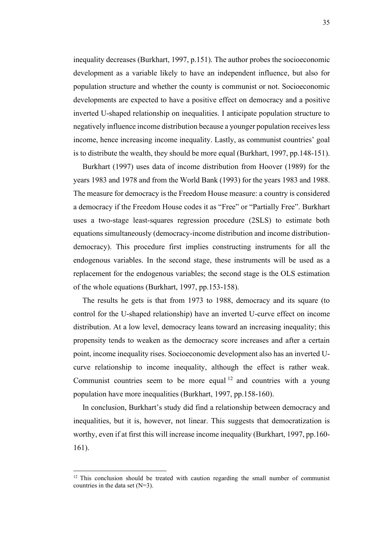inequality decreases (Burkhart, 1997, p.151). The author probes the socioeconomic development as a variable likely to have an independent influence, but also for population structure and whether the county is communist or not. Socioeconomic developments are expected to have a positive effect on democracy and a positive inverted U-shaped relationship on inequalities. I anticipate population structure to negatively influence income distribution because a younger population receivesless income, hence increasing income inequality. Lastly, as communist countries' goal is to distribute the wealth, they should be more equal (Burkhart, 1997, pp.148-151).

Burkhart (1997) uses data of income distribution from Hoover (1989) for the years 1983 and 1978 and from the World Bank (1993) for the years 1983 and 1988. The measure for democracy is the Freedom House measure: a country is considered a democracy if the Freedom House codes it as "Free" or "Partially Free". Burkhart uses a two-stage least-squares regression procedure (2SLS) to estimate both equations simultaneously (democracy-income distribution and income distributiondemocracy). This procedure first implies constructing instruments for all the endogenous variables. In the second stage, these instruments will be used as a replacement for the endogenous variables; the second stage is the OLS estimation of the whole equations (Burkhart, 1997, pp.153-158).

The results he gets is that from 1973 to 1988, democracy and its square (to control for the U-shaped relationship) have an inverted U-curve effect on income distribution. At a low level, democracy leans toward an increasing inequality; this propensity tends to weaken as the democracy score increases and after a certain point, income inequality rises. Socioeconomic development also has an inverted Ucurve relationship to income inequality, although the effect is rather weak. Communist countries seem to be more equal  $12$  and countries with a young population have more inequalities (Burkhart, 1997, pp.158-160).

In conclusion, Burkhart's study did find a relationship between democracy and inequalities, but it is, however, not linear. This suggests that democratization is worthy, even if at first this will increase income inequality (Burkhart, 1997, pp.160- 161).

 $12$  This conclusion should be treated with caution regarding the small number of communist countries in the data set (N=3).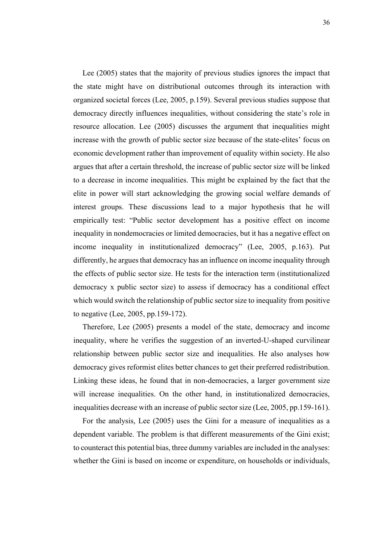Lee (2005) states that the majority of previous studies ignores the impact that the state might have on distributional outcomes through its interaction with organized societal forces (Lee, 2005, p.159). Several previous studies suppose that democracy directly influences inequalities, without considering the state's role in resource allocation. Lee (2005) discusses the argument that inequalities might increase with the growth of public sector size because of the state-elites' focus on economic development rather than improvement of equality within society. He also argues that after a certain threshold, the increase of public sector size will be linked to a decrease in income inequalities. This might be explained by the fact that the elite in power will start acknowledging the growing social welfare demands of interest groups. These discussions lead to a major hypothesis that he will empirically test: "Public sector development has a positive effect on income inequality in nondemocracies or limited democracies, but it has a negative effect on income inequality in institutionalized democracy" (Lee, 2005, p.163). Put differently, he argues that democracy has an influence on income inequality through the effects of public sector size. He tests for the interaction term (institutionalized democracy x public sector size) to assess if democracy has a conditional effect which would switch the relationship of public sector size to inequality from positive to negative (Lee, 2005, pp.159-172).

Therefore, Lee (2005) presents a model of the state, democracy and income inequality, where he verifies the suggestion of an inverted-U-shaped curvilinear relationship between public sector size and inequalities. He also analyses how democracy gives reformist elites better chances to get their preferred redistribution. Linking these ideas, he found that in non-democracies, a larger government size will increase inequalities. On the other hand, in institutionalized democracies, inequalities decrease with an increase of public sector size (Lee, 2005, pp.159-161).

For the analysis, Lee (2005) uses the Gini for a measure of inequalities as a dependent variable. The problem is that different measurements of the Gini exist; to counteract this potential bias, three dummy variables are included in the analyses: whether the Gini is based on income or expenditure, on households or individuals,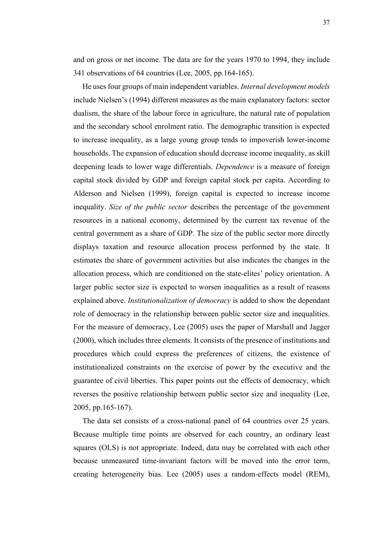and on gross or net income. The data are for the years 1970 to 1994, they include 341 observations of 64 countries (Lee, 2005, pp.164-165).

He uses four groups of main independent variables. *Internal development models*  include Nielsen's (1994) different measures as the main explanatory factors: sector dualism, the share of the labour force in agriculture, the natural rate of population and the secondary school enrolment ratio. The demographic transition is expected to increase inequality, as a large young group tends to impoverish lower-income households. The expansion of education should decrease income inequality, as skill deepening leads to lower wage differentials. *Dependence* is a measure of foreign capital stock divided by GDP and foreign capital stock per capita. According to Alderson and Nielsen (1999), foreign capital is expected to increase income inequality. *Size of the public sector* describes the percentage of the government resources in a national economy, determined by the current tax revenue of the central government as a share of GDP. The size of the public sector more directly displays taxation and resource allocation process performed by the state. It estimates the share of government activities but also indicates the changes in the allocation process, which are conditioned on the state-elites' policy orientation. A larger public sector size is expected to worsen inequalities as a result of reasons explained above. *Institutionalization of democracy* is added to show the dependant role of democracy in the relationship between public sector size and inequalities. For the measure of democracy, Lee (2005) uses the paper of Marshall and Jagger (2000), which includes three elements. It consists of the presence of institutions and procedures which could express the preferences of citizens, the existence of institutionalized constraints on the exercise of power by the executive and the guarantee of civil liberties. This paper points out the effects of democracy, which reverses the positive relationship between public sector size and inequality (Lee, 2005, pp.165-167).

The data set consists of a cross-national panel of 64 countries over 25 years. Because multiple time points are observed for each country, an ordinary least squares (OLS) is not appropriate. Indeed, data may be correlated with each other because unmeasured time-invariant factors will be moved into the error term, creating heterogeneity bias. Lee (2005) uses a random-effects model (REM),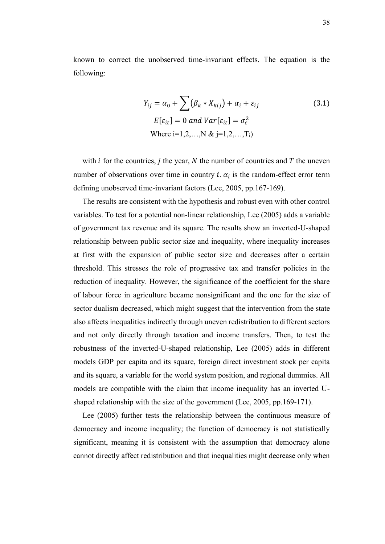known to correct the unobserved time-invariant effects. The equation is the following:

$$
Y_{ij} = \alpha_0 + \sum (\beta_k * X_{kij}) + \alpha_i + \varepsilon_{ij}
$$
\n
$$
E[\varepsilon_{it}] = 0 \text{ and } Var[\varepsilon_{it}] = \sigma_{\varepsilon}^2
$$
\nWhere i=1,2,...,N & j=1,2,...,T<sub>i</sub>)

with  $i$  for the countries,  $j$  the year,  $N$  the number of countries and  $T$  the uneven number of observations over time in country *i*.  $\alpha_i$  is the random-effect error term defining unobserved time-invariant factors (Lee, 2005, pp.167-169).

The results are consistent with the hypothesis and robust even with other control variables. To test for a potential non-linear relationship, Lee (2005) adds a variable of government tax revenue and its square. The results show an inverted-U-shaped relationship between public sector size and inequality, where inequality increases at first with the expansion of public sector size and decreases after a certain threshold. This stresses the role of progressive tax and transfer policies in the reduction of inequality. However, the significance of the coefficient for the share of labour force in agriculture became nonsignificant and the one for the size of sector dualism decreased, which might suggest that the intervention from the state also affects inequalities indirectly through uneven redistribution to different sectors and not only directly through taxation and income transfers. Then, to test the robustness of the inverted-U-shaped relationship, Lee (2005) adds in different models GDP per capita and its square, foreign direct investment stock per capita and its square, a variable for the world system position, and regional dummies. All models are compatible with the claim that income inequality has an inverted Ushaped relationship with the size of the government (Lee, 2005, pp.169-171).

Lee (2005) further tests the relationship between the continuous measure of democracy and income inequality; the function of democracy is not statistically significant, meaning it is consistent with the assumption that democracy alone cannot directly affect redistribution and that inequalities might decrease only when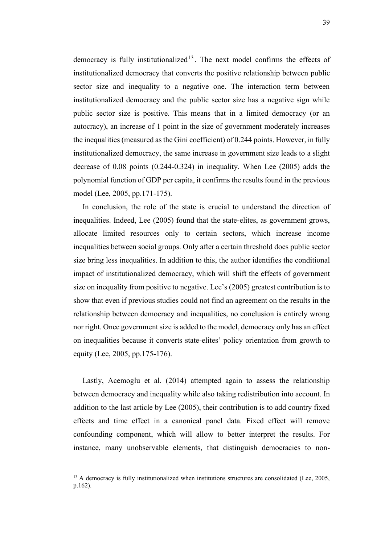democracy is fully institutionalized<sup>13</sup>. The next model confirms the effects of institutionalized democracy that converts the positive relationship between public sector size and inequality to a negative one. The interaction term between institutionalized democracy and the public sector size has a negative sign while public sector size is positive. This means that in a limited democracy (or an autocracy), an increase of 1 point in the size of government moderately increases the inequalities (measured as the Gini coefficient) of 0.244 points. However, in fully institutionalized democracy, the same increase in government size leads to a slight decrease of 0.08 points (0.244-0.324) in inequality. When Lee (2005) adds the polynomial function of GDP per capita, it confirms the results found in the previous model (Lee, 2005, pp.171-175).

In conclusion, the role of the state is crucial to understand the direction of inequalities. Indeed, Lee (2005) found that the state-elites, as government grows, allocate limited resources only to certain sectors, which increase income inequalities between social groups. Only after a certain threshold does public sector size bring less inequalities. In addition to this, the author identifies the conditional impact of institutionalized democracy, which will shift the effects of government size on inequality from positive to negative. Lee's (2005) greatest contribution is to show that even if previous studies could not find an agreement on the results in the relationship between democracy and inequalities, no conclusion is entirely wrong nor right. Once government size is added to the model, democracy only has an effect on inequalities because it converts state-elites' policy orientation from growth to equity (Lee, 2005, pp.175-176).

Lastly, Acemoglu et al. (2014) attempted again to assess the relationship between democracy and inequality while also taking redistribution into account. In addition to the last article by Lee (2005), their contribution is to add country fixed effects and time effect in a canonical panel data. Fixed effect will remove confounding component, which will allow to better interpret the results. For instance, many unobservable elements, that distinguish democracies to non-

 $13$  A democracy is fully institutionalized when institutions structures are consolidated (Lee, 2005, p.162).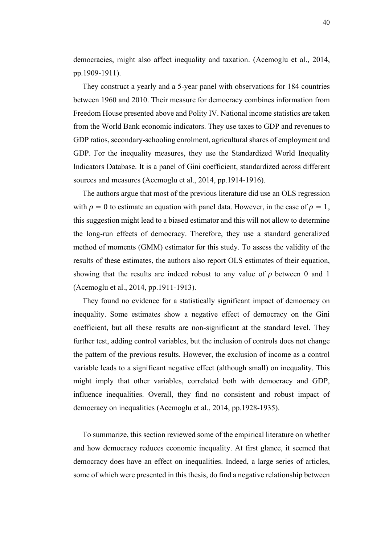democracies, might also affect inequality and taxation. (Acemoglu et al., 2014, pp.1909-1911).

They construct a yearly and a 5-year panel with observations for 184 countries between 1960 and 2010. Their measure for democracy combines information from Freedom House presented above and Polity IV. National income statistics are taken from the World Bank economic indicators. They use taxes to GDP and revenues to GDP ratios, secondary-schooling enrolment, agricultural shares of employment and GDP. For the inequality measures, they use the Standardized World Inequality Indicators Database. It is a panel of Gini coefficient, standardized across different sources and measures (Acemoglu et al., 2014, pp.1914-1916).

The authors argue that most of the previous literature did use an OLS regression with  $\rho = 0$  to estimate an equation with panel data. However, in the case of  $\rho = 1$ , this suggestion might lead to a biased estimator and this will not allow to determine the long-run effects of democracy. Therefore, they use a standard generalized method of moments (GMM) estimator for this study. To assess the validity of the results of these estimates, the authors also report OLS estimates of their equation, showing that the results are indeed robust to any value of  $\rho$  between 0 and 1 (Acemoglu et al., 2014, pp.1911-1913).

They found no evidence for a statistically significant impact of democracy on inequality. Some estimates show a negative effect of democracy on the Gini coefficient, but all these results are non-significant at the standard level. They further test, adding control variables, but the inclusion of controls does not change the pattern of the previous results. However, the exclusion of income as a control variable leads to a significant negative effect (although small) on inequality. This might imply that other variables, correlated both with democracy and GDP, influence inequalities. Overall, they find no consistent and robust impact of democracy on inequalities (Acemoglu et al., 2014, pp.1928-1935).

To summarize, this section reviewed some of the empirical literature on whether and how democracy reduces economic inequality. At first glance, it seemed that democracy does have an effect on inequalities. Indeed, a large series of articles, some of which were presented in this thesis, do find a negative relationship between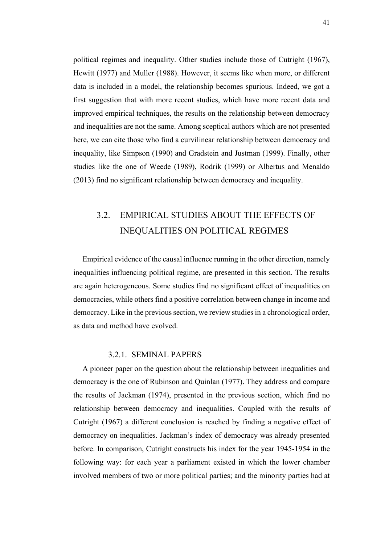political regimes and inequality. Other studies include those of Cutright (1967), Hewitt (1977) and Muller (1988). However, it seems like when more, or different data is included in a model, the relationship becomes spurious. Indeed, we got a first suggestion that with more recent studies, which have more recent data and improved empirical techniques, the results on the relationship between democracy and inequalities are not the same. Among sceptical authors which are not presented here, we can cite those who find a curvilinear relationship between democracy and inequality, like Simpson (1990) and Gradstein and Justman (1999). Finally, other studies like the one of Weede (1989), Rodrik (1999) or Albertus and Menaldo (2013) find no significant relationship between democracy and inequality.

### <span id="page-44-0"></span>3.2. EMPIRICAL STUDIES ABOUT THE EFFECTS OF INEQUALITIES ON POLITICAL REGIMES

Empirical evidence of the causal influence running in the other direction, namely inequalities influencing political regime, are presented in this section. The results are again heterogeneous. Some studies find no significant effect of inequalities on democracies, while others find a positive correlation between change in income and democracy. Like in the previous section, we review studies in a chronological order, as data and method have evolved.

#### 3.2.1. SEMINAL PAPERS

<span id="page-44-1"></span>A pioneer paper on the question about the relationship between inequalities and democracy is the one of Rubinson and Quinlan (1977). They address and compare the results of Jackman (1974), presented in the previous section, which find no relationship between democracy and inequalities. Coupled with the results of Cutright (1967) a different conclusion is reached by finding a negative effect of democracy on inequalities. Jackman's index of democracy was already presented before. In comparison, Cutright constructs his index for the year 1945-1954 in the following way: for each year a parliament existed in which the lower chamber involved members of two or more political parties; and the minority parties had at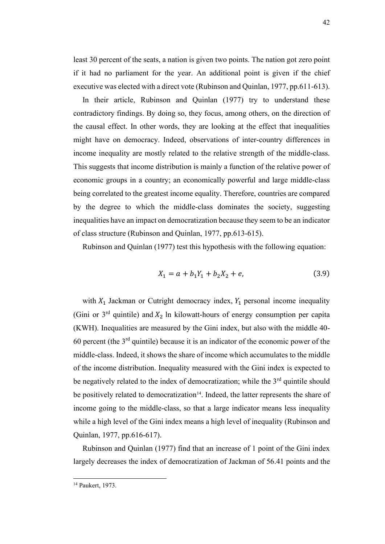least 30 percent of the seats, a nation is given two points. The nation got zero point if it had no parliament for the year. An additional point is given if the chief executive was elected with a direct vote (Rubinson and Quinlan, 1977, pp.611-613).

In their article, Rubinson and Quinlan (1977) try to understand these contradictory findings. By doing so, they focus, among others, on the direction of the causal effect. In other words, they are looking at the effect that inequalities might have on democracy. Indeed, observations of inter-country differences in income inequality are mostly related to the relative strength of the middle-class. This suggests that income distribution is mainly a function of the relative power of economic groups in a country; an economically powerful and large middle-class being correlated to the greatest income equality. Therefore, countries are compared by the degree to which the middle-class dominates the society, suggesting inequalities have an impact on democratization because they seem to be an indicator of class structure (Rubinson and Quinlan, 1977, pp.613-615).

Rubinson and Quinlan (1977) test this hypothesis with the following equation:

$$
X_1 = a + b_1 Y_1 + b_2 X_2 + e,\tag{3.9}
$$

with  $X_1$  Jackman or Cutright democracy index,  $Y_1$  personal income inequality (Gini or  $3<sup>rd</sup>$  quintile) and  $X_2$  ln kilowatt-hours of energy consumption per capita (KWH). Inequalities are measured by the Gini index, but also with the middle 40- 60 percent (the  $3<sup>rd</sup>$  quintile) because it is an indicator of the economic power of the middle-class. Indeed, it shows the share of income which accumulates to the middle of the income distribution. Inequality measured with the Gini index is expected to be negatively related to the index of democratization; while the 3<sup>rd</sup> quintile should be positively related to democratization<sup>14</sup>. Indeed, the latter represents the share of income going to the middle-class, so that a large indicator means less inequality while a high level of the Gini index means a high level of inequality (Rubinson and Quinlan, 1977, pp.616-617).

Rubinson and Quinlan (1977) find that an increase of 1 point of the Gini index largely decreases the index of democratization of Jackman of 56.41 points and the

<sup>14</sup> Paukert, 1973.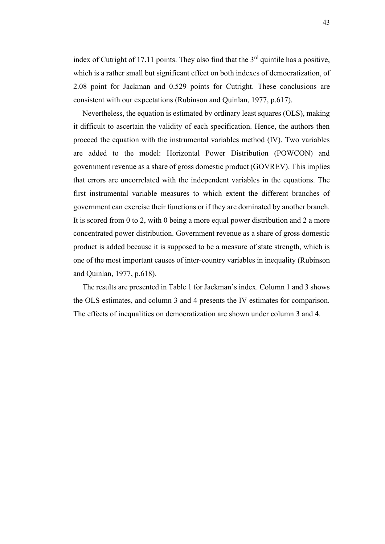index of Cutright of 17.11 points. They also find that the  $3<sup>rd</sup>$  quintile has a positive, which is a rather small but significant effect on both indexes of democratization, of 2.08 point for Jackman and 0.529 points for Cutright. These conclusions are consistent with our expectations (Rubinson and Quinlan, 1977, p.617).

Nevertheless, the equation is estimated by ordinary least squares (OLS), making it difficult to ascertain the validity of each specification. Hence, the authors then proceed the equation with the instrumental variables method (IV). Two variables are added to the model: Horizontal Power Distribution (POWCON) and government revenue as a share of gross domestic product (GOVREV). This implies that errors are uncorrelated with the independent variables in the equations. The first instrumental variable measures to which extent the different branches of government can exercise their functions or if they are dominated by another branch. It is scored from 0 to 2, with 0 being a more equal power distribution and 2 a more concentrated power distribution. Government revenue as a share of gross domestic product is added because it is supposed to be a measure of state strength, which is one of the most important causes of inter-country variables in inequality (Rubinson and Quinlan, 1977, p.618).

The results are presented in Table 1 for Jackman's index. Column 1 and 3 shows the OLS estimates, and column 3 and 4 presents the IV estimates for comparison. The effects of inequalities on democratization are shown under column 3 and 4.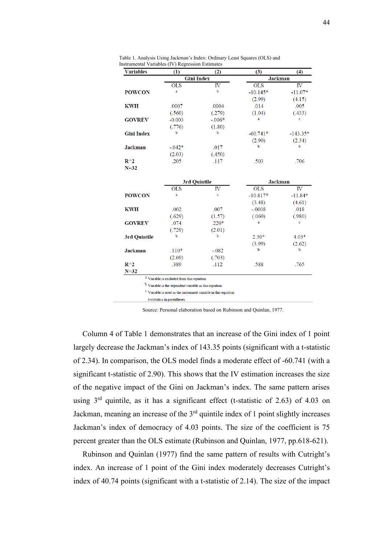<span id="page-47-0"></span>

| Table 1. Analysis Using Jackman's Index: Ordinary Least Squares (OLS) and |  |
|---------------------------------------------------------------------------|--|
| Instrumental Variables (IV) Regression Estimates                          |  |

| <b>Variables</b>  | (1)                                                              | (2)                                                                       | (3)        | (4)            |
|-------------------|------------------------------------------------------------------|---------------------------------------------------------------------------|------------|----------------|
|                   | <b>Gini Index</b>                                                |                                                                           |            | <b>Jackman</b> |
|                   | <b>OLS</b>                                                       | IV                                                                        | <b>OLS</b> | IV             |
| <b>POWCON</b>     | a                                                                | b                                                                         | $-10.145*$ | $-11.07*$      |
|                   |                                                                  |                                                                           | (2.99)     | (4.15)         |
| <b>KWH</b>        | .0007                                                            | .0004                                                                     | .014       | .005           |
|                   | (.560)                                                           | (.279)                                                                    | (1.04)     | (.433)         |
| <b>GOVREV</b>     | $-0.003$                                                         | $-.006*$                                                                  | a          | c              |
|                   | (.776)                                                           | (1.80)                                                                    |            |                |
| <b>Gini Index</b> | b                                                                | b                                                                         | $-60.741*$ | $-143.35*$     |
|                   |                                                                  |                                                                           | (2.90)     | (2.34)         |
| <b>Jackman</b>    | $-0.042*$                                                        | .017                                                                      | b          | b              |
|                   | (2.03)                                                           | (.450)                                                                    |            |                |
| $R^{\wedge}2$     | .205                                                             | .117                                                                      | .503       | .706           |
| $N = 32$          |                                                                  |                                                                           |            |                |
|                   |                                                                  |                                                                           |            |                |
|                   |                                                                  | 3rd Quintile                                                              |            | <b>Jackman</b> |
|                   | OLS                                                              | IV                                                                        | <b>OLS</b> | $_{\rm IV}$    |
| <b>POWCON</b>     | a                                                                | c                                                                         | $-10.817*$ | $-11.84*$      |
|                   |                                                                  |                                                                           | (3.48)     | (4.61)         |
| <b>KWH</b>        | .002                                                             | .007                                                                      | $-.0008$   | .018           |
|                   | (.629)                                                           | (1.57)                                                                    | (.060)     | (.980)         |
| <b>GOVREV</b>     | .074                                                             | $.220*$                                                                   | a          | c              |
|                   | (.729)                                                           | (2.01)                                                                    |            |                |
| 3rd Quintile      | b                                                                | $\mathbf b$                                                               | $2.30*$    | $4.03*$        |
|                   |                                                                  |                                                                           | (3.99)     | (2.62)         |
| <b>Jackman</b>    | $.110*$                                                          | $-.082$                                                                   | b          | b              |
|                   | (2.69)                                                           | (.703)                                                                    |            |                |
| $R^{\wedge}2$     | .389                                                             | .112                                                                      | .588       | .765           |
| $N=32$            |                                                                  |                                                                           |            |                |
|                   | <sup>a</sup> Variable is excluded from this equation             |                                                                           |            |                |
|                   | <sup>b</sup> Variable is the dependent variable in this equation |                                                                           |            |                |
|                   |                                                                  | <sup>C</sup> Variable is used as the instrument variable in this equation |            |                |

t-statistics in parentheses

Source: Personal elaboration based on Rubinson and Quinlan, 1977.

Column 4 of Table 1 demonstrates that an increase of the Gini index of 1 point largely decrease the Jackman's index of 143.35 points (significant with a t-statistic of 2.34). In comparison, the OLS model finds a moderate effect of -60.741 (with a significant t-statistic of 2.90). This shows that the IV estimation increases the size of the negative impact of the Gini on Jackman's index. The same pattern arises using  $3<sup>rd</sup>$  quintile, as it has a significant effect (t-statistic of 2.63) of 4.03 on Jackman, meaning an increase of the  $3<sup>rd</sup>$  quintile index of 1 point slightly increases Jackman's index of democracy of 4.03 points. The size of the coefficient is 75 percent greater than the OLS estimate (Rubinson and Quinlan, 1977, pp.618-621).

Rubinson and Quinlan (1977) find the same pattern of results with Cutright's index. An increase of 1 point of the Gini index moderately decreases Cutright's index of 40.74 points (significant with a t-statistic of 2.14). The size of the impact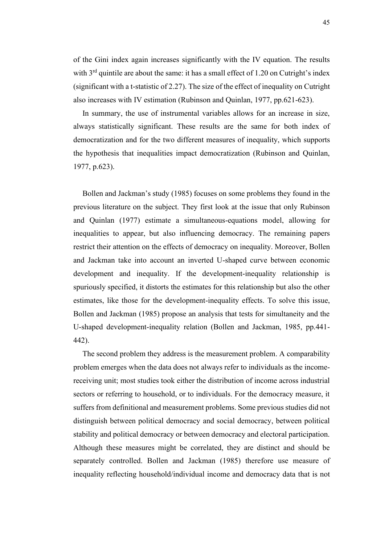of the Gini index again increases significantly with the IV equation. The results with  $3<sup>rd</sup>$  quintile are about the same: it has a small effect of 1.20 on Cutright's index (significant with a t-statistic of 2.27). The size of the effect of inequality on Cutright also increases with IV estimation (Rubinson and Quinlan, 1977, pp.621-623).

In summary, the use of instrumental variables allows for an increase in size, always statistically significant. These results are the same for both index of democratization and for the two different measures of inequality, which supports the hypothesis that inequalities impact democratization (Rubinson and Quinlan, 1977, p.623).

Bollen and Jackman's study (1985) focuses on some problems they found in the previous literature on the subject. They first look at the issue that only Rubinson and Quinlan (1977) estimate a simultaneous-equations model, allowing for inequalities to appear, but also influencing democracy. The remaining papers restrict their attention on the effects of democracy on inequality. Moreover, Bollen and Jackman take into account an inverted U-shaped curve between economic development and inequality. If the development-inequality relationship is spuriously specified, it distorts the estimates for this relationship but also the other estimates, like those for the development-inequality effects. To solve this issue, Bollen and Jackman (1985) propose an analysis that tests for simultaneity and the U-shaped development-inequality relation (Bollen and Jackman, 1985, pp.441- 442).

The second problem they address is the measurement problem. A comparability problem emerges when the data does not always refer to individuals as the incomereceiving unit; most studies took either the distribution of income across industrial sectors or referring to household, or to individuals. For the democracy measure, it suffers from definitional and measurement problems. Some previous studies did not distinguish between political democracy and social democracy, between political stability and political democracy or between democracy and electoral participation. Although these measures might be correlated, they are distinct and should be separately controlled. Bollen and Jackman (1985) therefore use measure of inequality reflecting household/individual income and democracy data that is not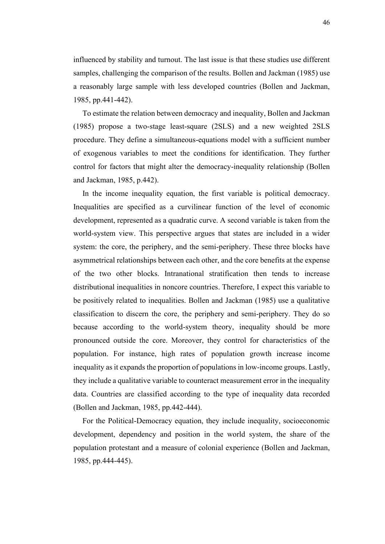influenced by stability and turnout. The last issue is that these studies use different samples, challenging the comparison of the results. Bollen and Jackman (1985) use a reasonably large sample with less developed countries (Bollen and Jackman, 1985, pp.441-442).

To estimate the relation between democracy and inequality, Bollen and Jackman (1985) propose a two-stage least-square (2SLS) and a new weighted 2SLS procedure. They define a simultaneous-equations model with a sufficient number of exogenous variables to meet the conditions for identification. They further control for factors that might alter the democracy-inequality relationship (Bollen and Jackman, 1985, p.442).

In the income inequality equation, the first variable is political democracy. Inequalities are specified as a curvilinear function of the level of economic development, represented as a quadratic curve. A second variable is taken from the world-system view. This perspective argues that states are included in a wider system: the core, the periphery, and the semi-periphery. These three blocks have asymmetrical relationships between each other, and the core benefits at the expense of the two other blocks. Intranational stratification then tends to increase distributional inequalities in noncore countries. Therefore, I expect this variable to be positively related to inequalities. Bollen and Jackman (1985) use a qualitative classification to discern the core, the periphery and semi-periphery. They do so because according to the world-system theory, inequality should be more pronounced outside the core. Moreover, they control for characteristics of the population. For instance, high rates of population growth increase income inequality as it expands the proportion of populations in low-income groups. Lastly, they include a qualitative variable to counteract measurement error in the inequality data. Countries are classified according to the type of inequality data recorded (Bollen and Jackman, 1985, pp.442-444).

For the Political-Democracy equation, they include inequality, socioeconomic development, dependency and position in the world system, the share of the population protestant and a measure of colonial experience (Bollen and Jackman, 1985, pp.444-445).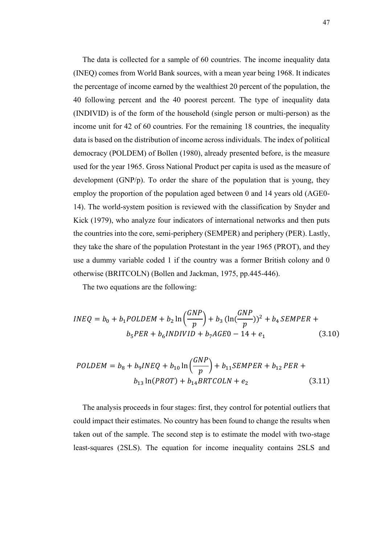The data is collected for a sample of 60 countries. The income inequality data (INEQ) comes from World Bank sources, with a mean year being 1968. It indicates the percentage of income earned by the wealthiest 20 percent of the population, the 40 following percent and the 40 poorest percent. The type of inequality data (INDIVID) is of the form of the household (single person or multi-person) as the income unit for 42 of 60 countries. For the remaining 18 countries, the inequality data is based on the distribution of income across individuals. The index of political democracy (POLDEM) of Bollen (1980), already presented before, is the measure used for the year 1965. Gross National Product per capita is used as the measure of development (GNP/p). To order the share of the population that is young, they employ the proportion of the population aged between 0 and 14 years old (AGE0- 14). The world-system position is reviewed with the classification by Snyder and Kick (1979), who analyze four indicators of international networks and then puts the countries into the core, semi-periphery (SEMPER) and periphery (PER). Lastly, they take the share of the population Protestant in the year 1965 (PROT), and they use a dummy variable coded 1 if the country was a former British colony and 0 otherwise (BRITCOLN) (Bollen and Jackman, 1975, pp.445-446).

The two equations are the following:

$$
INEQ = b_0 + b_1 POLDEM + b_2 \ln\left(\frac{GNP}{p}\right) + b_3 \left(\ln\left(\frac{GNP}{p}\right)\right)^2 + b_4 SEMPER + b_5 PER + b_6 INDIVID + b_7 AGE0 - 14 + e_1 \tag{3.10}
$$

$$
POLDEM = b_8 + b_9INEQ + b_{10} \ln \left(\frac{GNP}{p}\right) + b_{11}SEMPER + b_{12}PER + b_{13} \ln (PROT) + b_{14} BRTCOLN + e_2
$$
\n(3.11)

The analysis proceeds in four stages: first, they control for potential outliers that could impact their estimates. No country has been found to change the results when taken out of the sample. The second step is to estimate the model with two-stage least-squares (2SLS). The equation for income inequality contains 2SLS and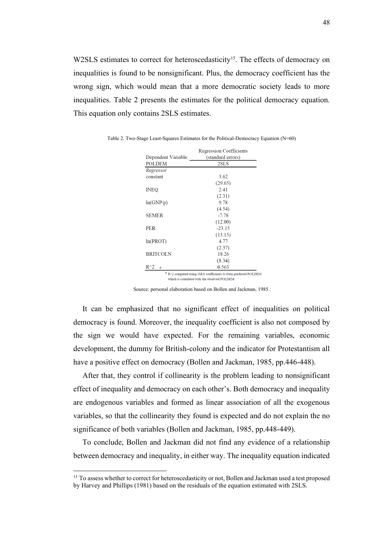W2SLS estimates to correct for heteroscedasticity<sup>15</sup>. The effects of democracy on inequalities is found to be nonsignificant. Plus, the democracy coefficient has the wrong sign, which would mean that a more democratic society leads to more inequalities. Table 2 presents the estimates for the political democracy equation. This equation only contains 2SLS estimates.

|                                              | <b>Regression Coefficients</b>                                  |  |
|----------------------------------------------|-----------------------------------------------------------------|--|
| Dependent Variable:                          | (standard errors)                                               |  |
| <b>POLDEM</b>                                | 2SLS                                                            |  |
| Regressor                                    |                                                                 |  |
| constant                                     | 3.62                                                            |  |
|                                              | (29.65)                                                         |  |
| <b>INEO</b>                                  | 2.41                                                            |  |
|                                              | (2.31)                                                          |  |
| ln(GNP/p)                                    | 9.78                                                            |  |
|                                              | (4.54)                                                          |  |
| <b>SEMER</b>                                 | $-778$                                                          |  |
|                                              | (12.00)                                                         |  |
| <b>PER</b>                                   | $-23.15$                                                        |  |
|                                              | (13.15)                                                         |  |
| ln(PROT)                                     | 4.77                                                            |  |
|                                              | (2.37)                                                          |  |
| <b>BRITCOLN</b>                              | 18.26                                                           |  |
|                                              | (8.34)                                                          |  |
| $R^{\wedge}2$<br>a                           | 0.563                                                           |  |
|                                              | a R^2 computed using 2SLS coefficients to form predicted POLDEM |  |
| which is correlated with the observed POLDEM |                                                                 |  |

<span id="page-51-0"></span>Table 2. Two-Stage Least-Squares Estimates for the Political-Democracy Equation (N=60)

Source: personal elaboration based on Bollen and Jackman, 1985.

It can be emphasized that no significant effect of inequalities on political democracy is found. Moreover, the inequality coefficient is also not composed by the sign we would have expected. For the remaining variables, economic development, the dummy for British-colony and the indicator for Protestantism all have a positive effect on democracy (Bollen and Jackman, 1985, pp.446-448).

After that, they control if collinearity is the problem leading to nonsignificant effect of inequality and democracy on each other's. Both democracy and inequality are endogenous variables and formed as linear association of all the exogenous variables, so that the collinearity they found is expected and do not explain the no significance of both variables (Bollen and Jackman, 1985, pp.448-449).

To conclude, Bollen and Jackman did not find any evidence of a relationship between democracy and inequality, in either way. The inequality equation indicated

<sup>&</sup>lt;sup>15</sup> To assess whether to correct for heteroscedasticity or not. Bollen and Jackman used a test proposed by Harvey and Phillips (1981) based on the residuals of the equation estimated with 2SLS.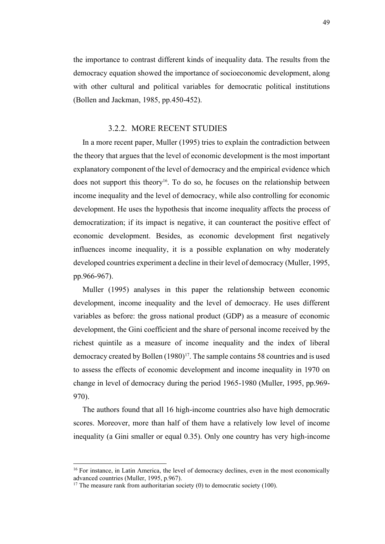the importance to contrast different kinds of inequality data. The results from the democracy equation showed the importance of socioeconomic development, along with other cultural and political variables for democratic political institutions (Bollen and Jackman, 1985, pp.450-452).

#### 3.2.2. MORE RECENT STUDIES

<span id="page-52-0"></span>In a more recent paper, Muller (1995) tries to explain the contradiction between the theory that argues that the level of economic development is the most important explanatory component of the level of democracy and the empirical evidence which does not support this theory<sup>16</sup>. To do so, he focuses on the relationship between income inequality and the level of democracy, while also controlling for economic development. He uses the hypothesis that income inequality affects the process of democratization; if its impact is negative, it can counteract the positive effect of economic development. Besides, as economic development first negatively influences income inequality, it is a possible explanation on why moderately developed countries experiment a decline in their level of democracy (Muller, 1995, pp.966-967).

Muller (1995) analyses in this paper the relationship between economic development, income inequality and the level of democracy. He uses different variables as before: the gross national product (GDP) as a measure of economic development, the Gini coefficient and the share of personal income received by the richest quintile as a measure of income inequality and the index of liberal democracy created by Bollen (1980)<sup>17</sup>. The sample contains 58 countries and is used to assess the effects of economic development and income inequality in 1970 on change in level of democracy during the period 1965-1980 (Muller, 1995, pp.969- 970).

The authors found that all 16 high-income countries also have high democratic scores. Moreover, more than half of them have a relatively low level of income inequality (a Gini smaller or equal 0.35). Only one country has very high-income

<sup>&</sup>lt;sup>16</sup> For instance, in Latin America, the level of democracy declines, even in the most economically advanced countries (Muller, 1995, p.967).

<sup>&</sup>lt;sup>17</sup> The measure rank from authoritarian society (0) to democratic society (100).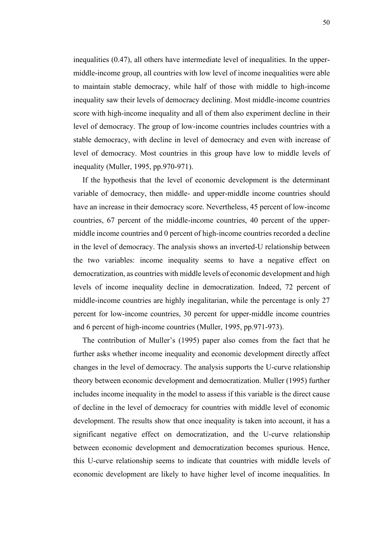inequalities (0.47), all others have intermediate level of inequalities. In the uppermiddle-income group, all countries with low level of income inequalities were able to maintain stable democracy, while half of those with middle to high-income inequality saw their levels of democracy declining. Most middle-income countries score with high-income inequality and all of them also experiment decline in their level of democracy. The group of low-income countries includes countries with a stable democracy, with decline in level of democracy and even with increase of level of democracy. Most countries in this group have low to middle levels of inequality (Muller, 1995, pp.970-971).

If the hypothesis that the level of economic development is the determinant variable of democracy, then middle- and upper-middle income countries should have an increase in their democracy score. Nevertheless, 45 percent of low-income countries, 67 percent of the middle-income countries, 40 percent of the uppermiddle income countries and 0 percent of high-income countries recorded a decline in the level of democracy. The analysis shows an inverted-U relationship between the two variables: income inequality seems to have a negative effect on democratization, as countries with middle levels of economic development and high levels of income inequality decline in democratization. Indeed, 72 percent of middle-income countries are highly inegalitarian, while the percentage is only 27 percent for low-income countries, 30 percent for upper-middle income countries and 6 percent of high-income countries (Muller, 1995, pp.971-973).

The contribution of Muller's (1995) paper also comes from the fact that he further asks whether income inequality and economic development directly affect changes in the level of democracy. The analysis supports the U-curve relationship theory between economic development and democratization. Muller (1995) further includes income inequality in the model to assess if this variable is the direct cause of decline in the level of democracy for countries with middle level of economic development. The results show that once inequality is taken into account, it has a significant negative effect on democratization, and the U-curve relationship between economic development and democratization becomes spurious. Hence, this U-curve relationship seems to indicate that countries with middle levels of economic development are likely to have higher level of income inequalities. In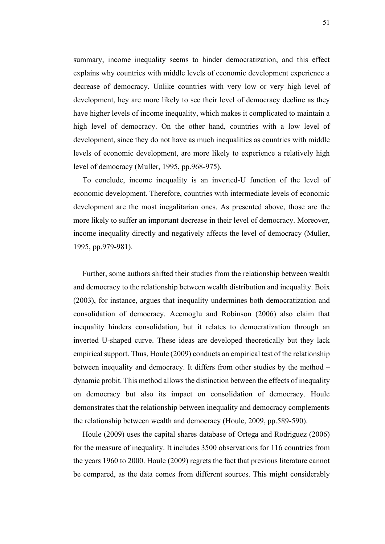summary, income inequality seems to hinder democratization, and this effect explains why countries with middle levels of economic development experience a decrease of democracy. Unlike countries with very low or very high level of development, hey are more likely to see their level of democracy decline as they have higher levels of income inequality, which makes it complicated to maintain a high level of democracy. On the other hand, countries with a low level of development, since they do not have as much inequalities as countries with middle levels of economic development, are more likely to experience a relatively high level of democracy (Muller, 1995, pp.968-975).

To conclude, income inequality is an inverted-U function of the level of economic development. Therefore, countries with intermediate levels of economic development are the most inegalitarian ones. As presented above, those are the more likely to suffer an important decrease in their level of democracy. Moreover, income inequality directly and negatively affects the level of democracy (Muller, 1995, pp.979-981).

Further, some authors shifted their studies from the relationship between wealth and democracy to the relationship between wealth distribution and inequality. Boix (2003), for instance, argues that inequality undermines both democratization and consolidation of democracy. Acemoglu and Robinson (2006) also claim that inequality hinders consolidation, but it relates to democratization through an inverted U-shaped curve. These ideas are developed theoretically but they lack empirical support. Thus, Houle (2009) conducts an empirical test of the relationship between inequality and democracy. It differs from other studies by the method – dynamic probit. This method allows the distinction between the effects of inequality on democracy but also its impact on consolidation of democracy. Houle demonstrates that the relationship between inequality and democracy complements the relationship between wealth and democracy (Houle, 2009, pp.589-590).

Houle (2009) uses the capital shares database of Ortega and Rodriguez (2006) for the measure of inequality. It includes 3500 observations for 116 countries from the years 1960 to 2000. Houle (2009) regrets the fact that previous literature cannot be compared, as the data comes from different sources. This might considerably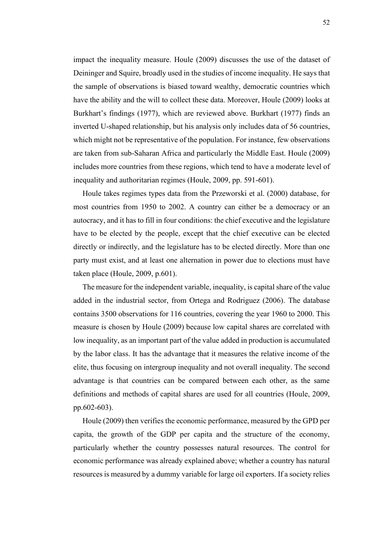impact the inequality measure. Houle (2009) discusses the use of the dataset of Deininger and Squire, broadly used in the studies of income inequality. He says that the sample of observations is biased toward wealthy, democratic countries which have the ability and the will to collect these data. Moreover, Houle (2009) looks at Burkhart's findings (1977), which are reviewed above. Burkhart (1977) finds an inverted U-shaped relationship, but his analysis only includes data of 56 countries, which might not be representative of the population. For instance, few observations are taken from sub-Saharan Africa and particularly the Middle East. Houle (2009) includes more countries from these regions, which tend to have a moderate level of inequality and authoritarian regimes (Houle, 2009, pp. 591-601).

Houle takes regimes types data from the Przeworski et al. (2000) database, for most countries from 1950 to 2002. A country can either be a democracy or an autocracy, and it has to fill in four conditions: the chief executive and the legislature have to be elected by the people, except that the chief executive can be elected directly or indirectly, and the legislature has to be elected directly. More than one party must exist, and at least one alternation in power due to elections must have taken place (Houle, 2009, p.601).

The measure for the independent variable, inequality, is capital share of the value added in the industrial sector, from Ortega and Rodriguez (2006). The database contains 3500 observations for 116 countries, covering the year 1960 to 2000. This measure is chosen by Houle (2009) because low capital shares are correlated with low inequality, as an important part of the value added in production is accumulated by the labor class. It has the advantage that it measures the relative income of the elite, thus focusing on intergroup inequality and not overall inequality. The second advantage is that countries can be compared between each other, as the same definitions and methods of capital shares are used for all countries (Houle, 2009, pp.602-603).

Houle (2009) then verifies the economic performance, measured by the GPD per capita, the growth of the GDP per capita and the structure of the economy, particularly whether the country possesses natural resources. The control for economic performance was already explained above; whether a country has natural resources is measured by a dummy variable for large oil exporters. If a society relies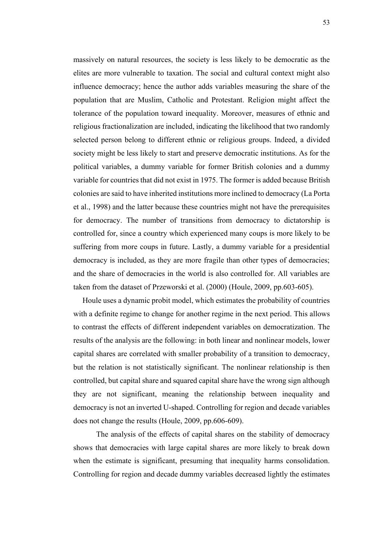massively on natural resources, the society is less likely to be democratic as the elites are more vulnerable to taxation. The social and cultural context might also influence democracy; hence the author adds variables measuring the share of the population that are Muslim, Catholic and Protestant. Religion might affect the tolerance of the population toward inequality. Moreover, measures of ethnic and religious fractionalization are included, indicating the likelihood that two randomly selected person belong to different ethnic or religious groups. Indeed, a divided society might be less likely to start and preserve democratic institutions. As for the political variables, a dummy variable for former British colonies and a dummy variable for countries that did not exist in 1975. The former is added because British colonies are said to have inherited institutions more inclined to democracy (La Porta et al., 1998) and the latter because these countries might not have the prerequisites for democracy. The number of transitions from democracy to dictatorship is controlled for, since a country which experienced many coups is more likely to be suffering from more coups in future. Lastly, a dummy variable for a presidential democracy is included, as they are more fragile than other types of democracies; and the share of democracies in the world is also controlled for. All variables are taken from the dataset of Przeworski et al. (2000) (Houle, 2009, pp.603-605).

Houle uses a dynamic probit model, which estimates the probability of countries with a definite regime to change for another regime in the next period. This allows to contrast the effects of different independent variables on democratization. The results of the analysis are the following: in both linear and nonlinear models, lower capital shares are correlated with smaller probability of a transition to democracy, but the relation is not statistically significant. The nonlinear relationship is then controlled, but capital share and squared capital share have the wrong sign although they are not significant, meaning the relationship between inequality and democracy is not an inverted U-shaped. Controlling for region and decade variables does not change the results (Houle, 2009, pp.606-609).

The analysis of the effects of capital shares on the stability of democracy shows that democracies with large capital shares are more likely to break down when the estimate is significant, presuming that inequality harms consolidation. Controlling for region and decade dummy variables decreased lightly the estimates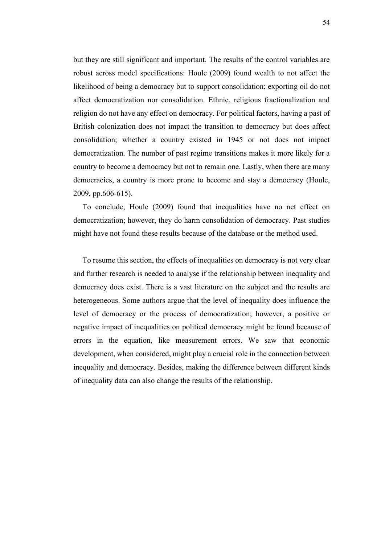but they are still significant and important. The results of the control variables are robust across model specifications: Houle (2009) found wealth to not affect the likelihood of being a democracy but to support consolidation; exporting oil do not affect democratization nor consolidation. Ethnic, religious fractionalization and religion do not have any effect on democracy. For political factors, having a past of British colonization does not impact the transition to democracy but does affect consolidation; whether a country existed in 1945 or not does not impact democratization. The number of past regime transitions makes it more likely for a country to become a democracy but not to remain one. Lastly, when there are many democracies, a country is more prone to become and stay a democracy (Houle, 2009, pp.606-615).

To conclude, Houle (2009) found that inequalities have no net effect on democratization; however, they do harm consolidation of democracy. Past studies might have not found these results because of the database or the method used.

To resume this section, the effects of inequalities on democracy is not very clear and further research is needed to analyse if the relationship between inequality and democracy does exist. There is a vast literature on the subject and the results are heterogeneous. Some authors argue that the level of inequality does influence the level of democracy or the process of democratization; however, a positive or negative impact of inequalities on political democracy might be found because of errors in the equation, like measurement errors. We saw that economic development, when considered, might play a crucial role in the connection between inequality and democracy. Besides, making the difference between different kinds of inequality data can also change the results of the relationship.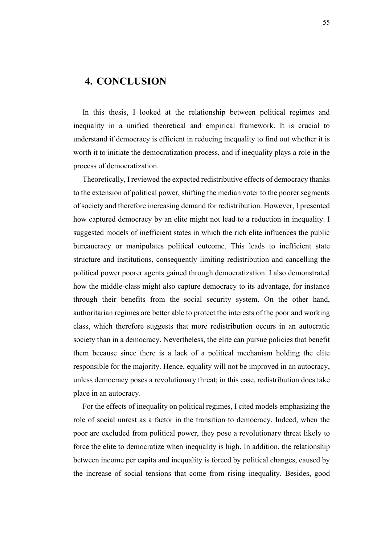#### <span id="page-58-0"></span>**4. CONCLUSION**

In this thesis, I looked at the relationship between political regimes and inequality in a unified theoretical and empirical framework. It is crucial to understand if democracy is efficient in reducing inequality to find out whether it is worth it to initiate the democratization process, and if inequality plays a role in the process of democratization.

Theoretically, I reviewed the expected redistributive effects of democracy thanks to the extension of political power, shifting the median voter to the poorer segments of society and therefore increasing demand for redistribution. However, I presented how captured democracy by an elite might not lead to a reduction in inequality. I suggested models of inefficient states in which the rich elite influences the public bureaucracy or manipulates political outcome. This leads to inefficient state structure and institutions, consequently limiting redistribution and cancelling the political power poorer agents gained through democratization. I also demonstrated how the middle-class might also capture democracy to its advantage, for instance through their benefits from the social security system. On the other hand, authoritarian regimes are better able to protect the interests of the poor and working class, which therefore suggests that more redistribution occurs in an autocratic society than in a democracy. Nevertheless, the elite can pursue policies that benefit them because since there is a lack of a political mechanism holding the elite responsible for the majority. Hence, equality will not be improved in an autocracy, unless democracy poses a revolutionary threat; in this case, redistribution does take place in an autocracy.

For the effects of inequality on political regimes, I cited models emphasizing the role of social unrest as a factor in the transition to democracy. Indeed, when the poor are excluded from political power, they pose a revolutionary threat likely to force the elite to democratize when inequality is high. In addition, the relationship between income per capita and inequality is forced by political changes, caused by the increase of social tensions that come from rising inequality. Besides, good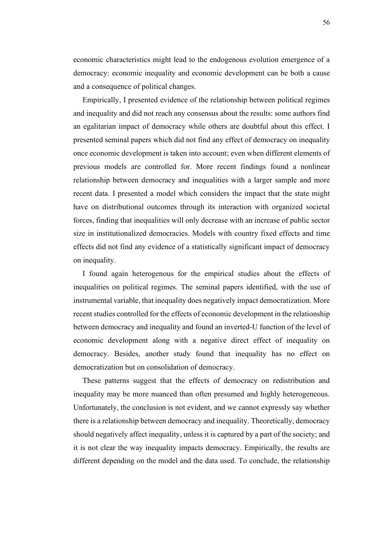economic characteristics might lead to the endogenous evolution emergence of a democracy: economic inequality and economic development can be both a cause and a consequence of political changes.

Empirically, I presented evidence of the relationship between political regimes and inequality and did not reach any consensus about the results: some authors find an egalitarian impact of democracy while others are doubtful about this effect. I presented seminal papers which did not find any effect of democracy on inequality once economic development is taken into account; even when different elements of previous models are controlled for. More recent findings found a nonlinear relationship between democracy and inequalities with a larger sample and more recent data. I presented a model which considers the impact that the state might have on distributional outcomes through its interaction with organized societal forces, finding that inequalities will only decrease with an increase of public sector size in institutionalized democracies. Models with country fixed effects and time effects did not find any evidence of a statistically significant impact of democracy on inequality.

I found again heterogenous for the empirical studies about the effects of inequalities on political regimes. The seminal papers identified, with the use of instrumental variable, that inequality does negatively impact democratization. More recent studies controlled for the effects of economic development in the relationship between democracy and inequality and found an inverted-U function of the level of economic development along with a negative direct effect of inequality on democracy. Besides, another study found that inequality has no effect on democratization but on consolidation of democracy.

These patterns suggest that the effects of democracy on redistribution and inequality may be more nuanced than often presumed and highly heterogeneous. Unfortunately, the conclusion is not evident, and we cannot expressly say whether there is a relationship between democracy and inequality. Theoretically, democracy should negatively affect inequality, unless it is captured by a part of the society; and it is not clear the way inequality impacts democracy. Empirically, the results are different depending on the model and the data used. To conclude, the relationship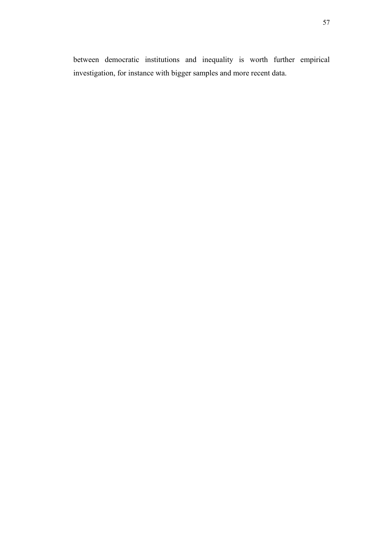between democratic institutions and inequality is worth further empirical investigation, for instance with bigger samples and more recent data.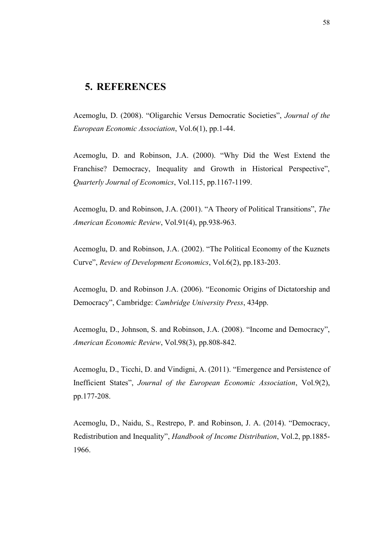#### <span id="page-61-0"></span>**5. REFERENCES**

Acemoglu, D. (2008). "Oligarchic Versus Democratic Societies", *Journal of the European Economic Association*, Vol.6(1), pp.1-44.

Acemoglu, D. and Robinson, J.A. (2000). "Why Did the West Extend the Franchise? Democracy, Inequality and Growth in Historical Perspective", *Quarterly Journal of Economics*, Vol.115, pp.1167-1199.

Acemoglu, D. and Robinson, J.A. (2001). "A Theory of Political Transitions", *The American Economic Review*, Vol.91(4), pp.938-963.

Acemoglu, D. and Robinson, J.A. (2002). "The Political Economy of the Kuznets Curve", *Review of Development Economics*, Vol.6(2), pp.183-203.

Acemoglu, D. and Robinson J.A. (2006). "Economic Origins of Dictatorship and Democracy", Cambridge: *Cambridge University Press*, 434pp.

Acemoglu, D., Johnson, S. and Robinson, J.A. (2008). "Income and Democracy", *American Economic Review*, Vol.98(3), pp.808-842.

Acemoglu, D., Ticchi, D. and Vindigni, A. (2011). "Emergence and Persistence of Inefficient States", *Journal of the European Economic Association*, Vol.9(2), pp.177-208.

Acemoglu, D., Naidu, S., Restrepo, P. and Robinson, J. A. (2014). "Democracy, Redistribution and Inequality", *Handbook of Income Distribution*, Vol.2, pp.1885- 1966.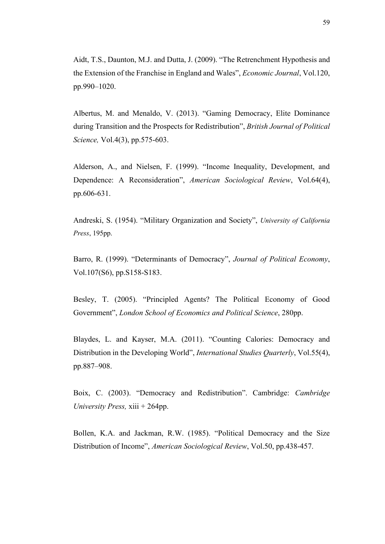Aidt, T.S., Daunton, M.J. and Dutta, J. (2009). "The Retrenchment Hypothesis and the Extension of the Franchise in England and Wales", *Economic Journal*, Vol.120, pp.990–1020.

Albertus, M. and Menaldo, V. (2013). "Gaming Democracy, Elite Dominance during Transition and the Prospects for Redistribution", *British Journal of Political Science,* Vol.4(3), pp.575-603.

Alderson, A., and Nielsen, F. (1999). "Income Inequality, Development, and Dependence: A Reconsideration", *American Sociological Review*, Vol.64(4), pp.606-631.

Andreski, S. (1954). "Military Organization and Society", *University of California Press*, 195pp.

Barro, R. (1999). "Determinants of Democracy", *Journal of Political Economy*, Vol.107(S6), pp.S158-S183.

Besley, T. (2005). "Principled Agents? The Political Economy of Good Government", *London School of Economics and Political Science*, 280pp.

Blaydes, L. and Kayser, M.A. (2011). "Counting Calories: Democracy and Distribution in the Developing World", *International Studies Quarterly*, Vol.55(4), pp.887–908.

Boix, C. (2003). "Democracy and Redistribution". Cambridge: *Cambridge University Press,* xiii + 264pp.

Bollen, K.A. and Jackman, R.W. (1985). "Political Democracy and the Size Distribution of Income", *American Sociological Review*, Vol.50, pp.438-457.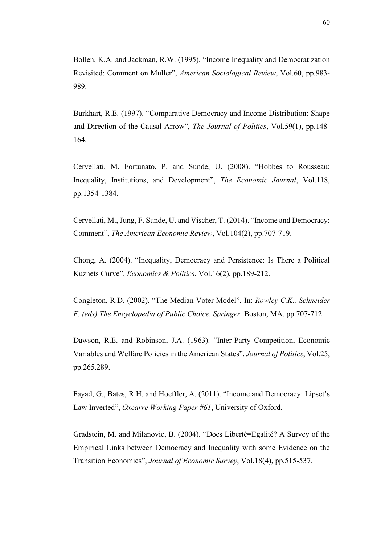Bollen, K.A. and Jackman, R.W. (1995). "Income Inequality and Democratization Revisited: Comment on Muller", *American Sociological Review*, Vol.60, pp.983- 989.

Burkhart, R.E. (1997). "Comparative Democracy and Income Distribution: Shape and Direction of the Causal Arrow", *The Journal of Politics*, Vol.59(1), pp.148- 164.

Cervellati, M. Fortunato, P. and Sunde, U. (2008). "Hobbes to Rousseau: Inequality, Institutions, and Development", *The Economic Journal*, Vol.118, pp.1354-1384.

Cervellati, M., Jung, F. Sunde, U. and Vischer, T. (2014). "Income and Democracy: Comment", *The American Economic Review*, Vol.104(2), pp.707-719.

Chong, A. (2004). "Inequality, Democracy and Persistence: Is There a Political Kuznets Curve", *Economics & Politics*, Vol.16(2), pp.189-212.

Congleton, R.D. (2002). "The Median Voter Model", In: *Rowley C.K., Schneider F. (eds) The Encyclopedia of Public Choice. Springer,* Boston, MA, pp.707-712.

Dawson, R.E. and Robinson, J.A. (1963). "Inter-Party Competition, Economic Variables and Welfare Policies in the American States", *Journal of Politics*, Vol.25, pp.265.289.

Fayad, G., Bates, R H. and Hoeffler, A. (2011). "Income and Democracy: Lipset's Law Inverted", *Oxcarre Working Paper #61*, University of Oxford.

Gradstein, M. and Milanovic, B. (2004). "Does Liberté=Egalité? A Survey of the Empirical Links between Democracy and Inequality with some Evidence on the Transition Economics", *Journal of Economic Survey*, Vol.18(4), pp.515-537.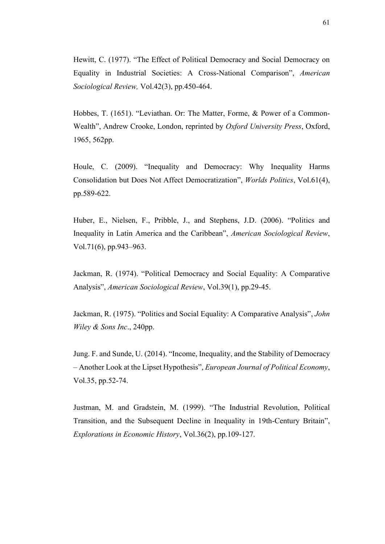Hewitt, C. (1977). "The Effect of Political Democracy and Social Democracy on Equality in Industrial Societies: A Cross-National Comparison", *American Sociological Review,* Vol.42(3), pp.450-464.

Hobbes, T. (1651). "Leviathan. Or: The Matter, Forme, & Power of a Common-Wealth", Andrew Crooke, London, reprinted by *Oxford University Press*, Oxford, 1965, 562pp.

Houle, C. (2009). "Inequality and Democracy: Why Inequality Harms Consolidation but Does Not Affect Democratization", *Worlds Politics*, Vol.61(4), pp.589-622.

Huber, E., Nielsen, F., Pribble, J., and Stephens, J.D. (2006). "Politics and Inequality in Latin America and the Caribbean", *American Sociological Review*, Vol.71(6), pp.943–963.

Jackman, R. (1974). "Political Democracy and Social Equality: A Comparative Analysis", *American Sociological Review*, Vol.39(1), pp.29-45.

Jackman, R. (1975). "Politics and Social Equality: A Comparative Analysis", *John Wiley & Sons Inc*., 240pp.

Jung. F. and Sunde, U. (2014). "Income, Inequality, and the Stability of Democracy – Another Look at the Lipset Hypothesis", *European Journal of Political Economy*, Vol.35, pp.52-74.

Justman, M. and Gradstein, M. (1999). "The Industrial Revolution, Political Transition, and the Subsequent Decline in Inequality in 19th-Century Britain", *Explorations in Economic History*, Vol.36(2), pp.109-127.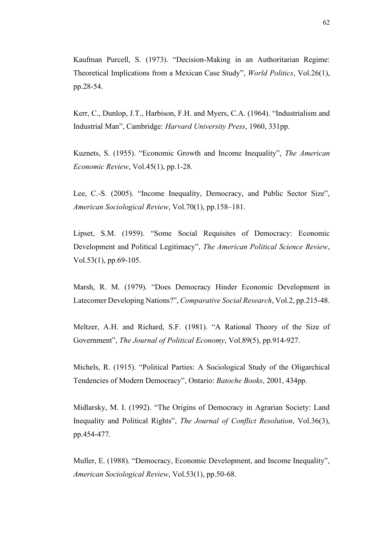Kaufman Purcell, S. (1973). "Decision-Making in an Authoritarian Regime: Theoretical Implications from a Mexican Case Study", *World Politics*, Vol.26(1), pp.28-54.

Kerr, C., Dunlop, J.T., Harbison, F.H. and Myers, C.A. (1964). "Industrialism and Industrial Man", Cambridge: *Harvard University Press*, 1960, 331pp.

Kuznets, S. (1955). "Economic Growth and Income Inequality", *The American Economic Review*, Vol.45(1), pp.1-28.

Lee, C.-S. (2005). "Income Inequality, Democracy, and Public Sector Size", *American Sociological Review*, Vol.70(1), pp.158–181.

Lipset, S.M. (1959). "Some Social Requisites of Democracy: Economic Development and Political Legitimacy", *The American Political Science Review*, Vol.53(1), pp.69-105.

Marsh, R. M. (1979). "Does Democracy Hinder Economic Development in Latecomer Developing Nations?", *Comparative Social Research*, Vol.2, pp.215-48.

Meltzer, A.H. and Richard, S.F. (1981). "A Rational Theory of the Size of Government", *The Journal of Political Economy*, Vol.89(5), pp.914-927.

Michels, R. (1915). "Political Parties: A Sociological Study of the Oligarchical Tendencies of Modern Democracy", Ontario: *Batoche Books*, 2001, 434pp.

Midlarsky, M. I. (1992). "The Origins of Democracy in Agrarian Society: Land Inequality and Political Rights", *The Journal of Conflict Resolution*, Vol.36(3), pp.454-477.

Muller, E. (1988). "Democracy, Economic Development, and Income Inequality", *American Sociological Review*, Vol.53(1), pp.50-68.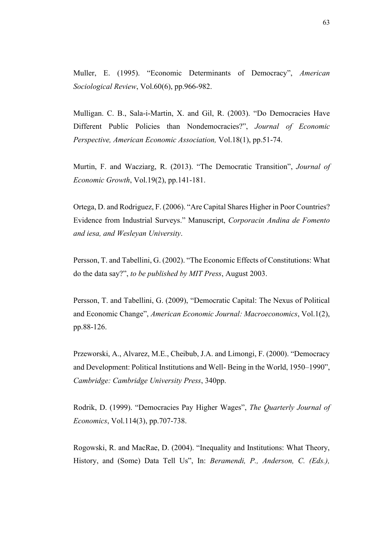Muller, E. (1995). "Economic Determinants of Democracy", *American Sociological Review*, Vol.60(6), pp.966-982.

Mulligan. C. B., Sala-i-Martin, X. and Gil, R. (2003). "Do Democracies Have Different Public Policies than Nondemocracies?", *Journal of Economic Perspective, American Economic Association,* Vol.18(1), pp.51-74.

Murtin, F. and Wacziarg, R. (2013). "The Democratic Transition", *Journal of Economic Growth*, Vol.19(2), pp.141-181.

Ortega, D. and Rodriguez, F. (2006). "Are Capital Shares Higher in Poor Countries? Evidence from Industrial Surveys." Manuscript, *Corporacin Andina de Fomento and iesa, and Wesleyan University*.

Persson, T. and Tabellini, G. (2002). "The Economic Effects of Constitutions: What do the data say?", *to be published by MIT Press*, August 2003.

Persson, T. and Tabellini, G. (2009), "Democratic Capital: The Nexus of Political and Economic Change", *American Economic Journal: Macroeconomics*, Vol.1(2), pp.88-126.

Przeworski, A., Alvarez, M.E., Cheibub, J.A. and Limongi, F. (2000). "Democracy and Development: Political Institutions and Well- Being in the World, 1950–1990", *Cambridge: Cambridge University Press*, 340pp.

Rodrik, D. (1999). "Democracies Pay Higher Wages", *The Quarterly Journal of Economics*, Vol.114(3), pp.707-738.

Rogowski, R. and MacRae, D. (2004). "Inequality and Institutions: What Theory, History, and (Some) Data Tell Us", In: *Beramendi, P., Anderson, C. (Eds.),*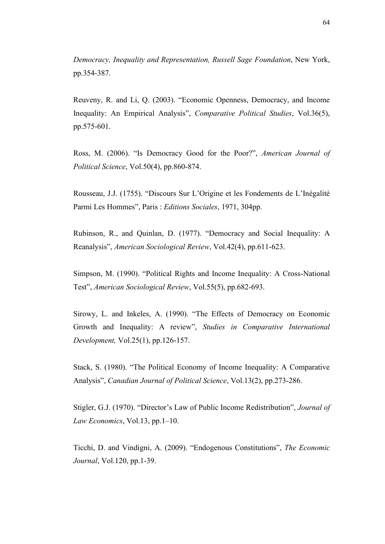*Democracy, Inequality and Representation, Russell Sage Foundation*, New York, pp.354-387.

Reuveny, R. and Li, Q. (2003). "Economic Openness, Democracy, and Income Inequality: An Empirical Analysis", *Comparative Political Studies*, Vol.36(5), pp.575-601.

Ross, M. (2006). "Is Democracy Good for the Poor?", *American Journal of Political Science*, Vol.50(4), pp.860-874.

Rousseau, J.J. (1755). "Discours Sur L'Origine et les Fondements de L'Inégalité Parmi Les Hommes", Paris : *Editions Sociales*, 1971, 304pp.

Rubinson, R., and Quinlan, D. (1977). "Democracy and Social Inequality: A Reanalysis", *American Sociological Review*, Vol.42(4), pp.611-623.

Simpson, M. (1990). "Political Rights and Income Inequality: A Cross-National Test", *American Sociological Review*, Vol.55(5), pp.682-693.

Sirowy, L. and Inkeles, A. (1990). "The Effects of Democracy on Economic Growth and Inequality: A review", *Studies in Comparative International Development,* Vol.25(1), pp.126-157.

Stack, S. (1980). "The Political Economy of Income Inequality: A Comparative Analysis", *Canadian Journal of Political Science*, Vol.13(2), pp.273-286.

Stigler, G.J. (1970). "Director's Law of Public Income Redistribution", *Journal of Law Economics*, Vol.13, pp.1–10.

Ticchi, D. and Vindigni, A. (2009). "Endogenous Constitutions", *The Economic Journal*, Vol.120, pp.1-39.